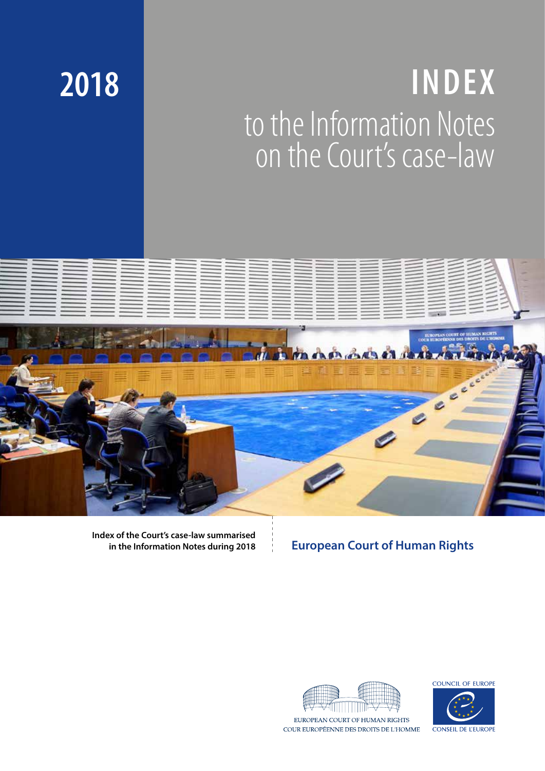# **INDEX** to the Information Notes on the Court's case-law



**Index of the Court's case-law summarised in the Information Notes during 2018** 

**2018**

# **European Court of Human Rights**



COUR EUROPÉENNE DES DROITS DE L'HOMME



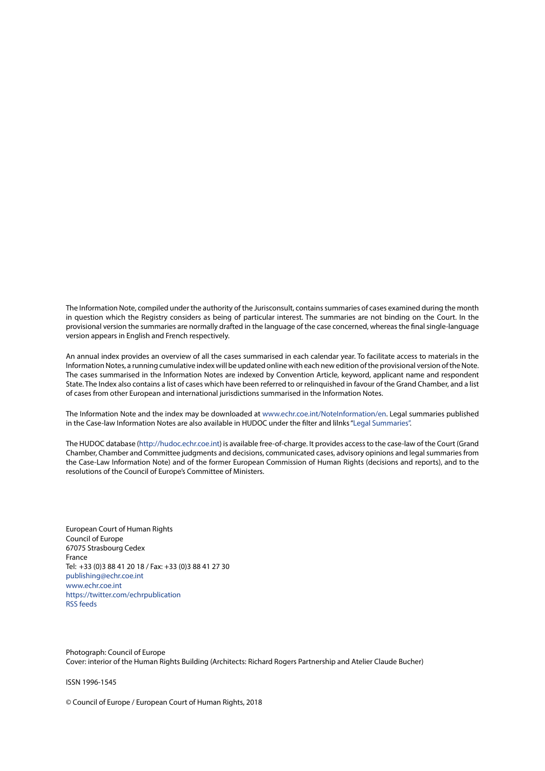The Information Note, compiled under the authority of the Jurisconsult, contains summaries of cases examined during the month in question which the Registry considers as being of particular interest. The summaries are not binding on the Court. In the provisional version the summaries are normally drafted in the language of the case concerned, whereas the final single-language version appears in English and French respectively.

An annual index provides an overview of all the cases summarised in each calendar year. To facilitate access to materials in the Information Notes, a running cumulative index will be updated online with each new edition of the provisional version of the Note. The cases summarised in the Information Notes are indexed by Convention Article, keyword, applicant name and respondent State. The Index also contains a list of cases which have been referred to or relinquished in favour of the Grand Chamber, and a list of cases from other European and international jurisdictions summarised in the Information Notes.

The Information Note and the index may be downloaded at www.echr.coe.int/NoteInformation/en. Legal summaries published in the Case-law Information Notes are also available in HUDOC under the filter and lilnks "[Legal Summaries](https://hudoc.echr.coe.int/eng#{"sort":["kpdate Descending"],"documentcollectionid2":["CLIN"]})".

The HUDOC database (http://hudoc.echr.coe.int) is available free-of-charge. It provides access to the case-law of the Court (Grand Chamber, Chamber and Committee judgments and decisions, communicated cases, advisory opinions and legal summaries from the Case-Law Information Note) and of the former European Commission of Human Rights (decisions and reports), and to the resolutions of the Council of Europe's Committee of Ministers.

European Court of Human Rights Council of Europe 67075 Strasbourg Cedex France Tel: +33 (0)3 88 41 20 18 / Fax: +33 (0)3 88 41 27 30 publishing@echr.coe.int www.echr.coe.int https://twitter.com/echrpublication [RSS feeds](https://www.echr.coe.int/Pages/home.aspx?p=ECHRRSSfeeds&c=)

Photograph: Council of Europe Cover: interior of the Human Rights Building (Architects: Richard Rogers Partnership and Atelier Claude Bucher)

ISSN 1996-1545

© Council of Europe / European Court of Human Rights, 2018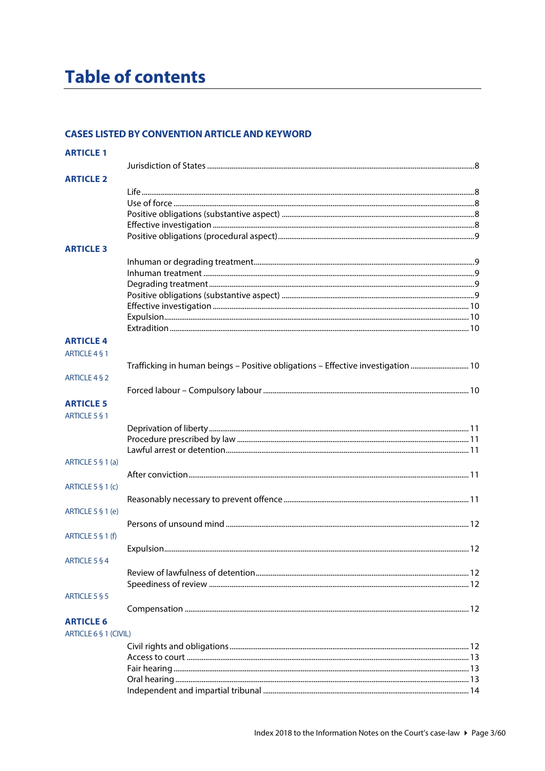# **Table of contents**

#### **CASES LISTED BY CONVENTION ARTICLE AND KEYWORD**

| <b>ARTICLE 1</b>                  |                                                                                  |  |
|-----------------------------------|----------------------------------------------------------------------------------|--|
|                                   |                                                                                  |  |
| <b>ARTICLE 2</b>                  |                                                                                  |  |
|                                   |                                                                                  |  |
|                                   |                                                                                  |  |
|                                   |                                                                                  |  |
|                                   |                                                                                  |  |
|                                   |                                                                                  |  |
|                                   |                                                                                  |  |
| <b>ARTICLE 3</b>                  |                                                                                  |  |
|                                   |                                                                                  |  |
|                                   |                                                                                  |  |
|                                   |                                                                                  |  |
|                                   |                                                                                  |  |
|                                   |                                                                                  |  |
|                                   |                                                                                  |  |
|                                   |                                                                                  |  |
| <b>ARTICLE 4</b><br>ARTICLE 4 § 1 |                                                                                  |  |
|                                   | Trafficking in human beings - Positive obligations - Effective investigation  10 |  |
| ARTICLE 4 § 2                     |                                                                                  |  |
|                                   |                                                                                  |  |
| <b>ARTICLE 5</b>                  |                                                                                  |  |
|                                   |                                                                                  |  |
| <b>ARTICLE 5 § 1</b>              |                                                                                  |  |
|                                   |                                                                                  |  |
|                                   |                                                                                  |  |
|                                   |                                                                                  |  |
| ARTICLE 5 § 1 (a)                 |                                                                                  |  |
|                                   |                                                                                  |  |
| ARTICLE $5 \S 1(c)$               |                                                                                  |  |
|                                   |                                                                                  |  |
| ARTICLE 5 § 1 (e)                 |                                                                                  |  |
|                                   |                                                                                  |  |
|                                   |                                                                                  |  |
| ARTICLE 5 § 1 (f)                 |                                                                                  |  |
|                                   |                                                                                  |  |
| <b>ARTICLE 5 § 4</b>              |                                                                                  |  |
|                                   |                                                                                  |  |
|                                   |                                                                                  |  |
| ARTICLE 5 § 5                     |                                                                                  |  |
|                                   |                                                                                  |  |
|                                   |                                                                                  |  |
| <b>ARTICLE 6</b>                  |                                                                                  |  |
| ARTICLE 6 § 1 (CIVIL)             |                                                                                  |  |
|                                   |                                                                                  |  |
|                                   |                                                                                  |  |
|                                   |                                                                                  |  |
|                                   |                                                                                  |  |
|                                   |                                                                                  |  |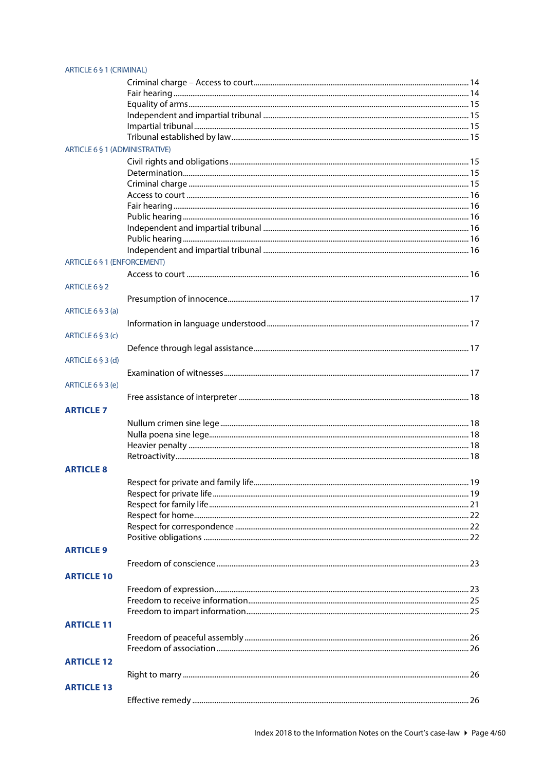| ARTICLE 6 § 1 (CRIMINAL)              |  |
|---------------------------------------|--|
|                                       |  |
|                                       |  |
|                                       |  |
|                                       |  |
|                                       |  |
|                                       |  |
| <b>ARTICLE 6 § 1 (ADMINISTRATIVE)</b> |  |
|                                       |  |
|                                       |  |
|                                       |  |
|                                       |  |
|                                       |  |
|                                       |  |
|                                       |  |
|                                       |  |
|                                       |  |
|                                       |  |
| <b>ARTICLE 6 § 1 (ENFORCEMENT)</b>    |  |
|                                       |  |
| ARTICLE 6 § 2                         |  |
|                                       |  |
| ARTICLE 6 § 3 (a)                     |  |
|                                       |  |
|                                       |  |
| ARTICLE $6 \frac{6}{3}$ (c)           |  |
|                                       |  |
| ARTICLE $6 \S 3$ (d)                  |  |
|                                       |  |
| ARTICLE 6 § 3 (e)                     |  |
|                                       |  |
|                                       |  |
| <b>ARTICLE 7</b>                      |  |
|                                       |  |
|                                       |  |
|                                       |  |
|                                       |  |
| <b>ARTICLE 8</b>                      |  |
|                                       |  |
|                                       |  |
|                                       |  |
|                                       |  |
|                                       |  |
|                                       |  |
|                                       |  |
| <b>ARTICLE 9</b>                      |  |
|                                       |  |
| <b>ARTICLE 10</b>                     |  |
|                                       |  |
|                                       |  |
|                                       |  |
|                                       |  |
| <b>ARTICLE 11</b>                     |  |
|                                       |  |
|                                       |  |
| <b>ARTICLE 12</b>                     |  |
|                                       |  |
|                                       |  |
| <b>ARTICLE 13</b>                     |  |
|                                       |  |
|                                       |  |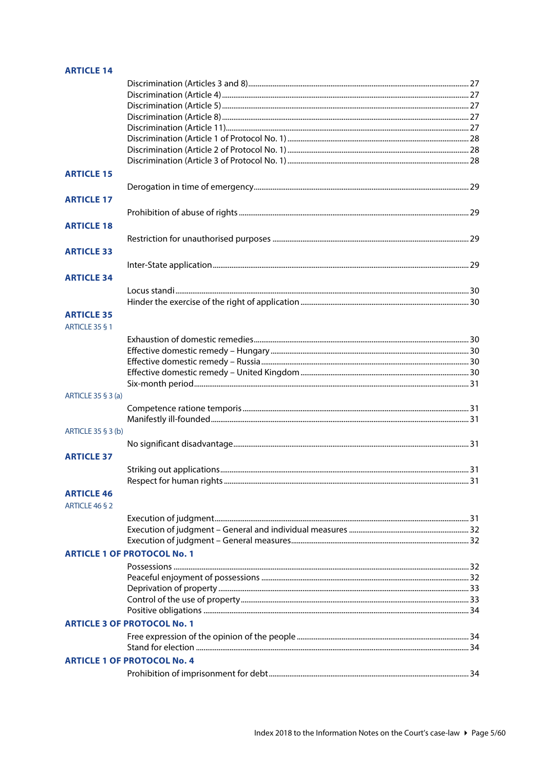#### **ARTICLE 14**

| <b>ARTICLE 15</b>     |                                    |  |
|-----------------------|------------------------------------|--|
|                       |                                    |  |
| <b>ARTICLE 17</b>     |                                    |  |
|                       |                                    |  |
|                       |                                    |  |
| <b>ARTICLE 18</b>     |                                    |  |
|                       |                                    |  |
| <b>ARTICLE 33</b>     |                                    |  |
|                       |                                    |  |
| <b>ARTICLE 34</b>     |                                    |  |
|                       |                                    |  |
|                       |                                    |  |
|                       |                                    |  |
| <b>ARTICLE 35</b>     |                                    |  |
| <b>ARTICLE 35 § 1</b> |                                    |  |
|                       |                                    |  |
|                       |                                    |  |
|                       |                                    |  |
|                       |                                    |  |
|                       |                                    |  |
| ARTICLE 35 § 3 (a)    |                                    |  |
|                       |                                    |  |
|                       |                                    |  |
| ARTICLE 35 § 3 (b)    |                                    |  |
|                       |                                    |  |
| <b>ARTICLE 37</b>     |                                    |  |
|                       |                                    |  |
|                       |                                    |  |
|                       |                                    |  |
| <b>ARTICLE 46</b>     |                                    |  |
| ARTICLE 46 § 2        |                                    |  |
|                       |                                    |  |
|                       |                                    |  |
|                       |                                    |  |
|                       | <b>ARTICLE 1 OF PROTOCOL No. 1</b> |  |
|                       |                                    |  |
|                       |                                    |  |
|                       |                                    |  |
|                       |                                    |  |
|                       |                                    |  |
|                       | <b>ARTICLE 3 OF PROTOCOL No. 1</b> |  |
|                       |                                    |  |
|                       |                                    |  |
|                       | <b>ARTICLE 1 OF PROTOCOL No. 4</b> |  |
|                       |                                    |  |
|                       |                                    |  |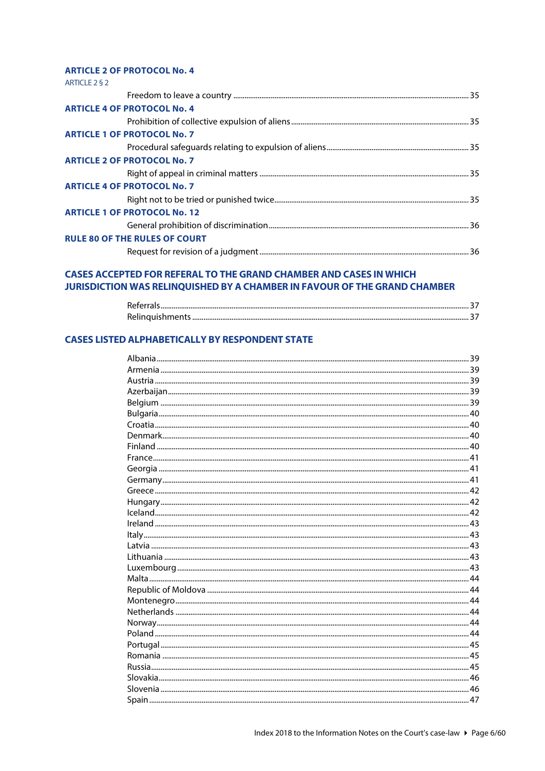#### **ARTICLE 2 OF PROTOCOL No. 4**

| ARTICLE 2 § 2                        |  |
|--------------------------------------|--|
|                                      |  |
| <b>ARTICLE 4 OF PROTOCOL No. 4</b>   |  |
|                                      |  |
| <b>ARTICLE 1 OF PROTOCOL No. 7</b>   |  |
|                                      |  |
| <b>ARTICLE 2 OF PROTOCOL No. 7</b>   |  |
|                                      |  |
| <b>ARTICLE 4 OF PROTOCOL No. 7</b>   |  |
|                                      |  |
| <b>ARTICLE 1 OF PROTOCOL No. 12</b>  |  |
|                                      |  |
| <b>RULE 80 OF THE RULES OF COURT</b> |  |
|                                      |  |

#### **CASES ACCEPTED FOR REFERAL TO THE GRAND CHAMBER AND CASES IN WHICH** JURISDICTION WAS RELINQUISHED BY A CHAMBER IN FAVOUR OF THE GRAND CHAMBER

| $D$ oforrak<br><b>Referral</b> |  |
|--------------------------------|--|
|                                |  |

#### **CASES LISTED ALPHABETICALLY BY RESPONDENT STATE**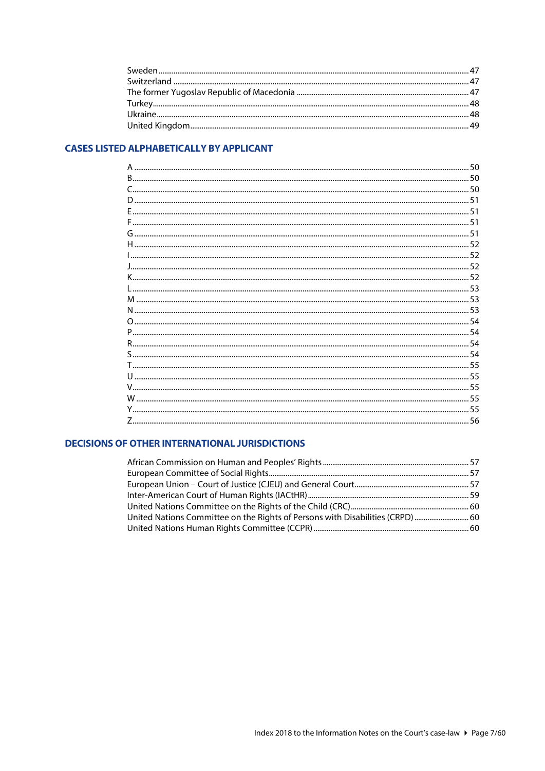#### **CASES LISTED ALPHABETICALLY BY APPLICANT**

#### **DECISIONS OF OTHER INTERNATIONAL JURISDICTIONS**

| 00 United Nations Committee on the Rights of Persons with Disabilities (CRPD)  60 |  |
|-----------------------------------------------------------------------------------|--|
|                                                                                   |  |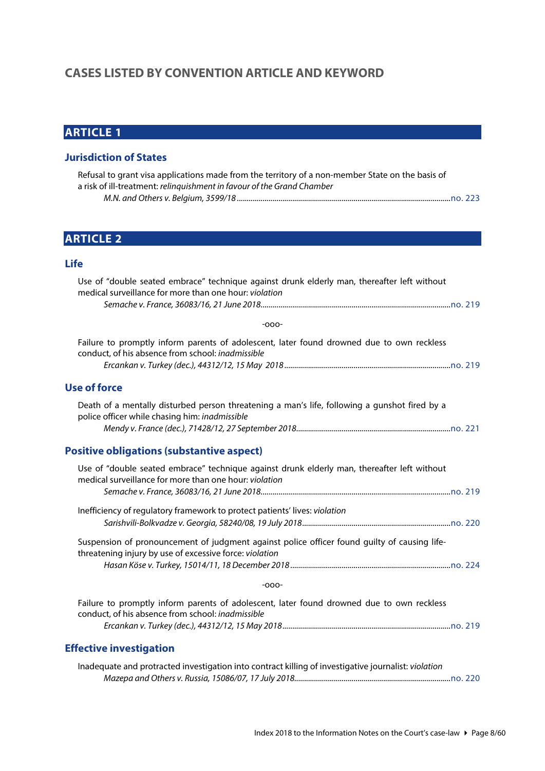# <span id="page-7-0"></span>**CASES LISTED BY CONVENTION ARTICLE AND KEYWORD**

# <span id="page-7-1"></span>**ARTICLE 1**

#### <span id="page-7-2"></span>**Jurisdiction of States**

| Refusal to grant visa applications made from the territory of a non-member State on the basis of |  |
|--------------------------------------------------------------------------------------------------|--|
| a risk of ill-treatment: relinguishment in favour of the Grand Chamber                           |  |
|                                                                                                  |  |

# <span id="page-7-3"></span>**ARTICLE 2**

#### <span id="page-7-4"></span>**Life**

<span id="page-7-6"></span><span id="page-7-5"></span>

| Use of "double seated embrace" technique against drunk elderly man, thereafter left without<br>medical surveillance for more than one hour: violation   |
|---------------------------------------------------------------------------------------------------------------------------------------------------------|
|                                                                                                                                                         |
| $-000-$                                                                                                                                                 |
| Failure to promptly inform parents of adolescent, later found drowned due to own reckless<br>conduct, of his absence from school: inadmissible          |
| <b>Use of force</b>                                                                                                                                     |
| Death of a mentally disturbed person threatening a man's life, following a gunshot fired by a<br>police officer while chasing him: inadmissible         |
| <b>Positive obligations (substantive aspect)</b>                                                                                                        |
| Use of "double seated embrace" technique against drunk elderly man, thereafter left without<br>medical surveillance for more than one hour: violation   |
| Inefficiency of regulatory framework to protect patients' lives: violation                                                                              |
|                                                                                                                                                         |
| Suspension of pronouncement of judgment against police officer found guilty of causing life-<br>threatening injury by use of excessive force: violation |
|                                                                                                                                                         |
| $-000-$                                                                                                                                                 |
| Failure to promptly inform parents of adolescent, later found drowned due to own reckless<br>conduct, of his absence from school: inadmissible          |
| <b>Effective investigation</b>                                                                                                                          |
| Inadequate and protracted investigation into contract killing of investigative journalist: violation                                                    |

<span id="page-7-7"></span>*Mazepa and Others v. Russia, 15086/07, 17 July 2018...............................................................................*[no. 220](http://www.echr.coe.int/Documents/CLIN_2018_07_220_ENG.pdf)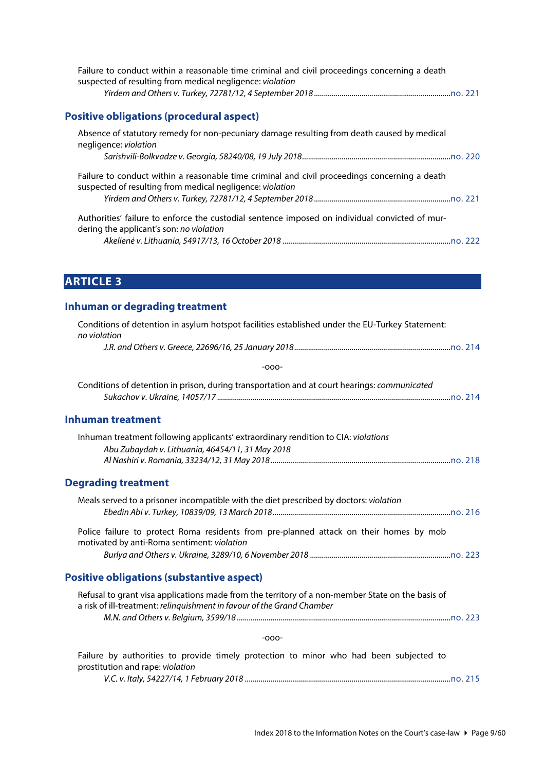<span id="page-8-0"></span>

| Failure to conduct within a reasonable time criminal and civil proceedings concerning a death<br>suspected of resulting from medical negligence: violation |  |
|------------------------------------------------------------------------------------------------------------------------------------------------------------|--|
|                                                                                                                                                            |  |
| <b>Positive obligations (procedural aspect)</b>                                                                                                            |  |
| Absence of statutory remedy for non-pecuniary damage resulting from death caused by medical<br>negligence: violation                                       |  |
|                                                                                                                                                            |  |
| Failure to conduct within a reasonable time criminal and civil proceedings concerning a death<br>suspected of resulting from medical negligence: violation |  |
|                                                                                                                                                            |  |
| Authorities' failure to enforce the custodial sentence imposed on individual convicted of mur-<br>dering the applicant's son: no violation                 |  |
|                                                                                                                                                            |  |

<span id="page-8-1"></span>**ARTICLE 3**

### <span id="page-8-2"></span>**Inhuman or degrading treatment**

<span id="page-8-4"></span><span id="page-8-3"></span>

| Conditions of detention in asylum hotspot facilities established under the EU-Turkey Statement:<br>no violation                                                            |
|----------------------------------------------------------------------------------------------------------------------------------------------------------------------------|
|                                                                                                                                                                            |
| $-000-$                                                                                                                                                                    |
| Conditions of detention in prison, during transportation and at court hearings: communicated                                                                               |
| <b>Inhuman treatment</b>                                                                                                                                                   |
| Inhuman treatment following applicants' extraordinary rendition to CIA: violations<br>Abu Zubaydah v. Lithuania, 46454/11, 31 May 2018                                     |
| <b>Degrading treatment</b>                                                                                                                                                 |
| Meals served to a prisoner incompatible with the diet prescribed by doctors: violation                                                                                     |
| Police failure to protect Roma residents from pre-planned attack on their homes by mob<br>motivated by anti-Roma sentiment: violation                                      |
|                                                                                                                                                                            |
| <b>Positive obligations (substantive aspect)</b>                                                                                                                           |
| Refusal to grant visa applications made from the territory of a non-member State on the basis of<br>a risk of ill-treatment: relinquishment in favour of the Grand Chamber |
| $-000-$                                                                                                                                                                    |
| Failure by authorities to provide timely protection to minor who had been subjected to<br>prostitution and rape: violation                                                 |

<span id="page-8-5"></span>*V.C. v. Italy, 54227/14, 1 February 2018 ........................................................................................................*[no. 215](http://www.echr.coe.int/Documents/CLIN_2018_02_215_ENG.pdf)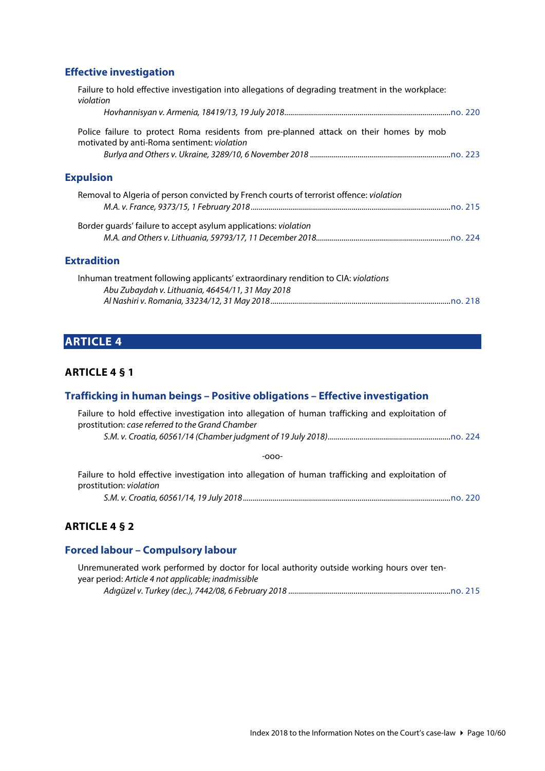# <span id="page-9-0"></span>**Effective investigation**

<span id="page-9-1"></span>

| Failure to hold effective investigation into allegations of degrading treatment in the workplace:<br>violation                         |
|----------------------------------------------------------------------------------------------------------------------------------------|
|                                                                                                                                        |
| Police failure to protect Roma residents from pre-planned attack on their homes by mob<br>motivated by anti-Roma sentiment: violation  |
|                                                                                                                                        |
| <b>Expulsion</b>                                                                                                                       |
| Removal to Algeria of person convicted by French courts of terrorist offence: violation                                                |
| Border guards' failure to accept asylum applications: <i>violation</i>                                                                 |
|                                                                                                                                        |
| <b>Extradition</b>                                                                                                                     |
| Inhuman treatment following applicants' extraordinary rendition to CIA: violations<br>Abu Zubaydah v. Lithuania, 46454/11, 31 May 2018 |

<span id="page-9-2"></span>*Al Nashiri v. Romania, 33234/12, 31 May 2018...........................................................................................*[no. 218](http://www.echr.coe.int/Documents/CLIN_2018_05_218_ENG.pdf)

# <span id="page-9-3"></span>**ARTICLE 4**

#### <span id="page-9-4"></span>**ARTICLE 4 § 1**

### <span id="page-9-5"></span>**Trafficking in human beings – Positive obligations – Effective investigation**

| Failure to hold effective investigation into allegation of human trafficking and exploitation of<br>prostitution: case referred to the Grand Chamber |
|------------------------------------------------------------------------------------------------------------------------------------------------------|
|                                                                                                                                                      |
| $-000-$                                                                                                                                              |
| Failure to hold effective investigation into allegation of human trafficking and exploitation of<br>prostitution: violation                          |
|                                                                                                                                                      |

#### <span id="page-9-6"></span>**ARTICLE 4 § 2**

# <span id="page-9-7"></span>**Forced labour – Compulsory labour**

| Unremunerated work performed by doctor for local authority outside working hours over ten- |  |
|--------------------------------------------------------------------------------------------|--|
| year period: Article 4 not applicable; inadmissible                                        |  |
|                                                                                            |  |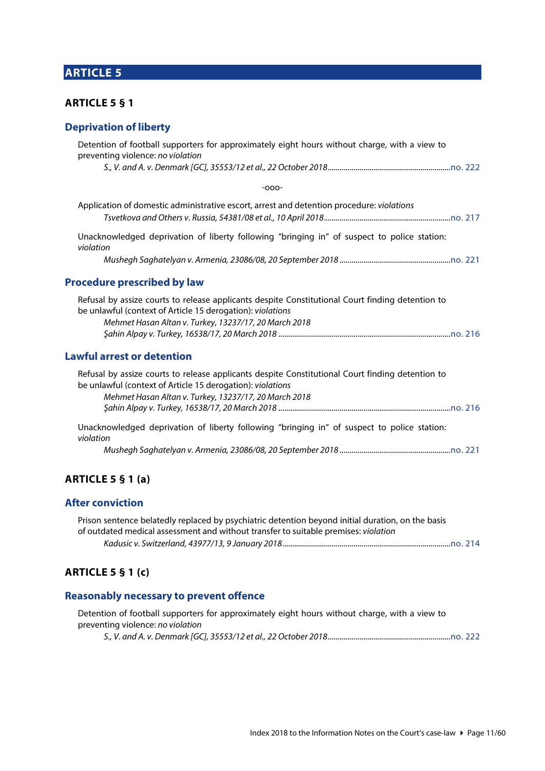# <span id="page-10-0"></span>**ARTICLE 5**

#### <span id="page-10-1"></span>**ARTICLE 5 § 1**

### <span id="page-10-2"></span>**Deprivation of liberty**

<span id="page-10-3"></span>

| Detention of football supporters for approximately eight hours without charge, with a view to<br>preventing violence: no violation                             |  |
|----------------------------------------------------------------------------------------------------------------------------------------------------------------|--|
|                                                                                                                                                                |  |
| $-000-$                                                                                                                                                        |  |
| Application of domestic administrative escort, arrest and detention procedure: violations                                                                      |  |
| Unacknowledged deprivation of liberty following "bringing in" of suspect to police station:<br>violation                                                       |  |
|                                                                                                                                                                |  |
| <b>Procedure prescribed by law</b>                                                                                                                             |  |
| Refusal by assize courts to release applicants despite Constitutional Court finding detention to<br>be unlawful (context of Article 15 derogation): violations |  |
| Mehmet Hasan Altan v. Turkey, 13237/17, 20 March 2018                                                                                                          |  |
| <b>Lawful arrest or detention</b>                                                                                                                              |  |
| Refusal by assize courts to release applicants despite Constitutional Court finding detention to<br>be unlawful (context of Article 15 derogation): violations |  |
| Mehmet Hasan Altan v. Turkey, 13237/17, 20 March 2018                                                                                                          |  |
| Unacknowledged deprivation of liberty following "bringing in" of suspect to police station:<br>violation                                                       |  |
|                                                                                                                                                                |  |
|                                                                                                                                                                |  |

# <span id="page-10-5"></span><span id="page-10-4"></span>**ARTICLE 5 § 1 (a)**

#### <span id="page-10-6"></span>**After conviction**

| Prison sentence belatedly replaced by psychiatric detention beyond initial duration, on the basis |  |
|---------------------------------------------------------------------------------------------------|--|
| of outdated medical assessment and without transfer to suitable premises: violation               |  |
|                                                                                                   |  |

# <span id="page-10-7"></span>**ARTICLE 5 § 1 (c)**

### <span id="page-10-8"></span>**Reasonably necessary to prevent offence**

| Detention of football supporters for approximately eight hours without charge, with a view to |  |
|-----------------------------------------------------------------------------------------------|--|
| preventing violence: no violation                                                             |  |
|                                                                                               |  |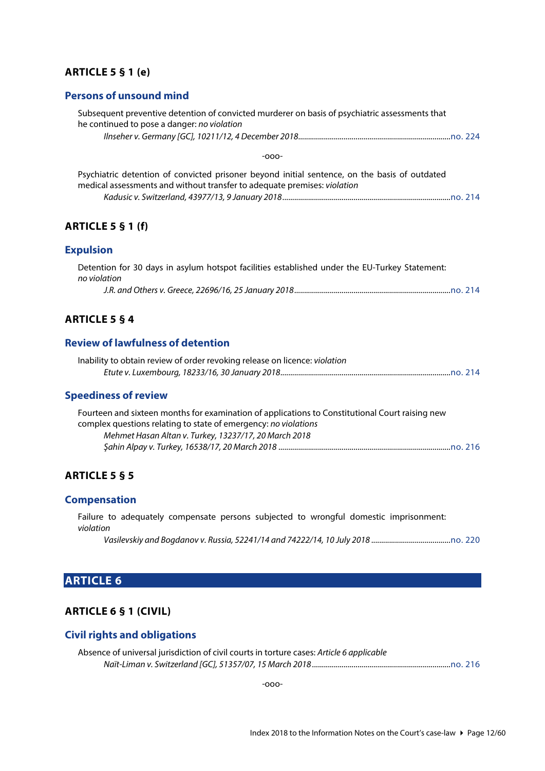#### <span id="page-11-0"></span>**ARTICLE 5 § 1 (e)**

#### <span id="page-11-1"></span>**Persons of unsound mind**

<span id="page-11-3"></span><span id="page-11-2"></span>

| Subsequent preventive detention of convicted murderer on basis of psychiatric assessments that<br>he continued to pose a danger: no violation                             |
|---------------------------------------------------------------------------------------------------------------------------------------------------------------------------|
|                                                                                                                                                                           |
| $-000-$                                                                                                                                                                   |
| Psychiatric detention of convicted prisoner beyond initial sentence, on the basis of outdated<br>medical assessments and without transfer to adequate premises: violation |
| <b>ARTICLE 5 § 1 (f)</b>                                                                                                                                                  |
| <b>Expulsion</b>                                                                                                                                                          |
| Detention for 30 days in asylum hotspot facilities established under the EU-Turkey Statement:<br>no violation                                                             |
|                                                                                                                                                                           |
| <b>ARTICLE 5 § 4</b>                                                                                                                                                      |
| <b>Review of lawfulness of detention</b>                                                                                                                                  |
| Inability to obtain review of order revoking release on licence: violation                                                                                                |
| <b>Speediness of review</b>                                                                                                                                               |
| Fourteen and sixteen months for examination of applications to Constitutional Court raising new                                                                           |

<span id="page-11-6"></span><span id="page-11-5"></span><span id="page-11-4"></span>

| Fourteen and sixteen months for examination of applications to Constitutional Court raising new |  |
|-------------------------------------------------------------------------------------------------|--|
| complex questions relating to state of emergency: no violations                                 |  |
| Mehmet Hasan Altan v. Turkey, 13237/17, 20 March 2018                                           |  |
|                                                                                                 |  |

#### <span id="page-11-7"></span>**ARTICLE 5 § 5**

#### <span id="page-11-8"></span>**Compensation**

Failure to adequately compensate persons subjected to wrongful domestic imprisonment: *violation*

*Vasilevskiy and Bogdanov v. Russia, 52241/14 and 74222/14, 10 July 2018 ........................................*[no. 220](http://www.echr.coe.int/Documents/CLIN_2018_07_220_ENG.pdf)

# <span id="page-11-9"></span>**ARTICLE 6**

### <span id="page-11-10"></span>**ARTICLE 6 § 1 (CIVIL)**

### <span id="page-11-11"></span>**Civil rights and obligations**

| Absence of universal jurisdiction of civil courts in torture cases: Article 6 applicable |  |
|------------------------------------------------------------------------------------------|--|
|                                                                                          |  |

-ooo-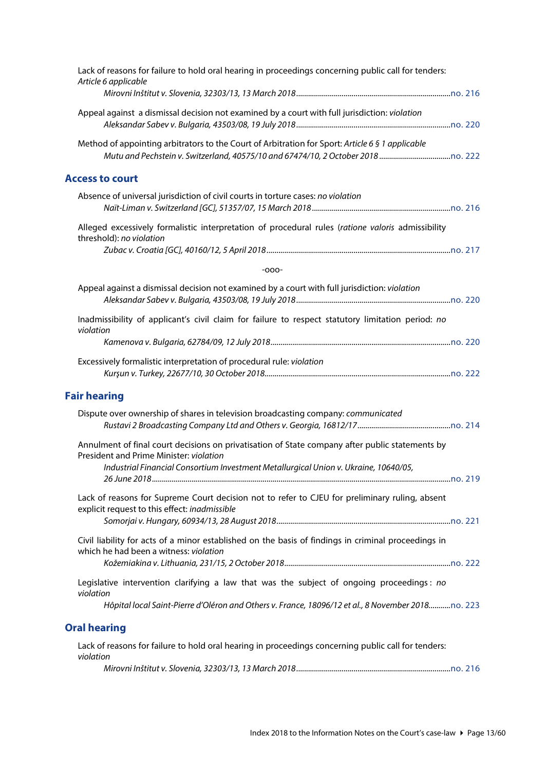<span id="page-12-0"></span>

| Lack of reasons for failure to hold oral hearing in proceedings concerning public call for tenders:<br>Article 6 applicable                                                                                                        |
|------------------------------------------------------------------------------------------------------------------------------------------------------------------------------------------------------------------------------------|
| Appeal against a dismissal decision not examined by a court with full jurisdiction: violation                                                                                                                                      |
| Method of appointing arbitrators to the Court of Arbitration for Sport: Article 6 § 1 applicable                                                                                                                                   |
| <b>Access to court</b>                                                                                                                                                                                                             |
| Absence of universal jurisdiction of civil courts in torture cases: no violation                                                                                                                                                   |
| Alleged excessively formalistic interpretation of procedural rules (ratione valoris admissibility<br>threshold): no violation                                                                                                      |
|                                                                                                                                                                                                                                    |
| $-000-$                                                                                                                                                                                                                            |
| Appeal against a dismissal decision not examined by a court with full jurisdiction: violation                                                                                                                                      |
| Inadmissibility of applicant's civil claim for failure to respect statutory limitation period: no<br>violation                                                                                                                     |
|                                                                                                                                                                                                                                    |
| Excessively formalistic interpretation of procedural rule: violation                                                                                                                                                               |
| <b>Fair hearing</b>                                                                                                                                                                                                                |
| Dispute over ownership of shares in television broadcasting company: communicated                                                                                                                                                  |
| Annulment of final court decisions on privatisation of State company after public statements by<br>President and Prime Minister: violation<br>Industrial Financial Consortium Investment Metallurgical Union v. Ukraine, 10640/05, |
|                                                                                                                                                                                                                                    |
| Lack of reasons for Supreme Court decision not to refer to CJEU for preliminary ruling, absent<br>explicit request to this effect: inadmissible                                                                                    |
|                                                                                                                                                                                                                                    |
| Civil liability for acts of a minor established on the basis of findings in criminal proceedings in<br>which he had been a witness: violation                                                                                      |
| Legislative intervention clarifying a law that was the subject of ongoing proceedings: no<br>violation                                                                                                                             |
| Hôpital local Saint-Pierre d'Oléron and Others v. France, 18096/12 et al., 8 November 2018no. 223                                                                                                                                  |
| <b>Oral hearing</b>                                                                                                                                                                                                                |
| Lack of reasons for failure to hold oral hearing in proceedings concerning public call for tenders:<br>violation                                                                                                                   |

<span id="page-12-2"></span><span id="page-12-1"></span>*Mirovni Inštitut v. Slovenia, 32303/13, 13 March 2018..............................................................................*[no. 216](http://www.echr.coe.int/Documents/CLIN_2018_03_216_ENG.pdf)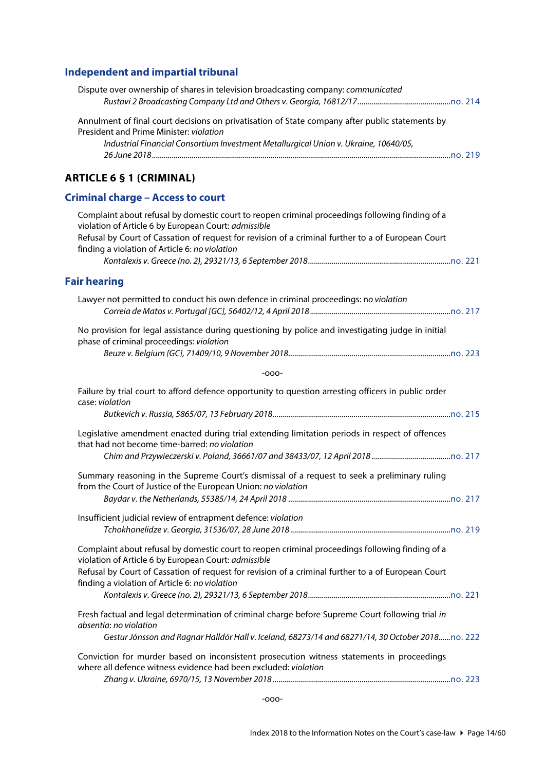# <span id="page-13-0"></span>**Independent and impartial tribunal**

<span id="page-13-3"></span><span id="page-13-2"></span><span id="page-13-1"></span>

| Dispute over ownership of shares in television broadcasting company: communicated                                                                                                                                                                                                                               |
|-----------------------------------------------------------------------------------------------------------------------------------------------------------------------------------------------------------------------------------------------------------------------------------------------------------------|
| Annulment of final court decisions on privatisation of State company after public statements by<br>President and Prime Minister: violation                                                                                                                                                                      |
| Industrial Financial Consortium Investment Metallurgical Union v. Ukraine, 10640/05,                                                                                                                                                                                                                            |
| <b>ARTICLE 6 § 1 (CRIMINAL)</b>                                                                                                                                                                                                                                                                                 |
| <b>Criminal charge - Access to court</b>                                                                                                                                                                                                                                                                        |
| Complaint about refusal by domestic court to reopen criminal proceedings following finding of a<br>violation of Article 6 by European Court: admissible<br>Refusal by Court of Cassation of request for revision of a criminal further to a of European Court<br>finding a violation of Article 6: no violation |
| <b>Fair hearing</b>                                                                                                                                                                                                                                                                                             |
| Lawyer not permitted to conduct his own defence in criminal proceedings: no violation                                                                                                                                                                                                                           |
| No provision for legal assistance during questioning by police and investigating judge in initial<br>phase of criminal proceedings: violation                                                                                                                                                                   |
| $-000-$                                                                                                                                                                                                                                                                                                         |
| Failure by trial court to afford defence opportunity to question arresting officers in public order<br>case: violation                                                                                                                                                                                          |
| Legislative amendment enacted during trial extending limitation periods in respect of offences<br>that had not become time-barred: no violation                                                                                                                                                                 |
| Summary reasoning in the Supreme Court's dismissal of a request to seek a preliminary ruling<br>from the Court of Justice of the European Union: no violation                                                                                                                                                   |
|                                                                                                                                                                                                                                                                                                                 |
| Insufficient judicial review of entrapment defence: violation                                                                                                                                                                                                                                                   |
| Complaint about refusal by domestic court to reopen criminal proceedings following finding of a<br>violation of Article 6 by European Court: admissible                                                                                                                                                         |
| Refusal by Court of Cassation of request for revision of a criminal further to a of European Court<br>finding a violation of Article 6: no violation                                                                                                                                                            |
| Fresh factual and legal determination of criminal charge before Supreme Court following trial in<br>absentia: no violation                                                                                                                                                                                      |
| Gestur Jónsson and Ragnar Halldór Hall v. Iceland, 68273/14 and 68271/14, 30 October 2018no. 222                                                                                                                                                                                                                |
| Conviction for murder based on inconsistent prosecution witness statements in proceedings<br>where all defence witness evidence had been excluded: violation                                                                                                                                                    |
|                                                                                                                                                                                                                                                                                                                 |

-ooo-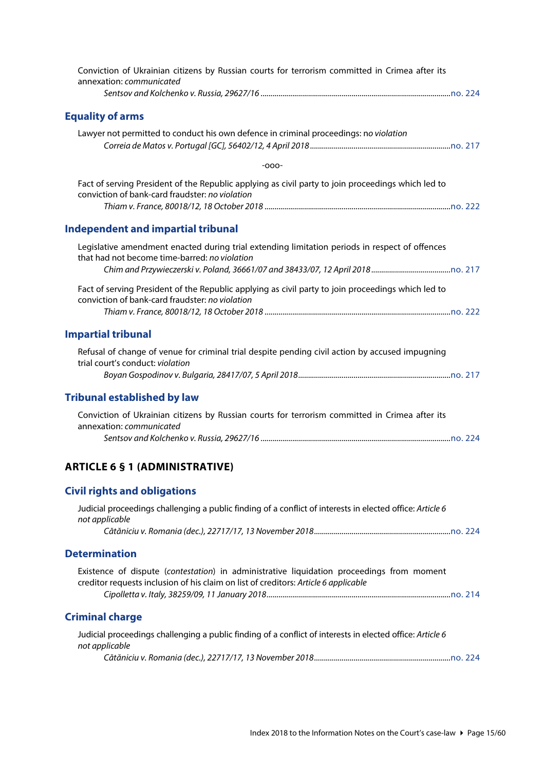<span id="page-14-7"></span><span id="page-14-6"></span><span id="page-14-5"></span><span id="page-14-4"></span><span id="page-14-3"></span><span id="page-14-2"></span><span id="page-14-1"></span><span id="page-14-0"></span>

| Conviction of Ukrainian citizens by Russian courts for terrorism committed in Crimea after its<br>annexation: communicated                                                       |
|----------------------------------------------------------------------------------------------------------------------------------------------------------------------------------|
|                                                                                                                                                                                  |
| <b>Equality of arms</b>                                                                                                                                                          |
| Lawyer not permitted to conduct his own defence in criminal proceedings: no violation                                                                                            |
| $-000-$                                                                                                                                                                          |
| Fact of serving President of the Republic applying as civil party to join proceedings which led to<br>conviction of bank-card fraudster: no violation                            |
| <b>Independent and impartial tribunal</b>                                                                                                                                        |
| Legislative amendment enacted during trial extending limitation periods in respect of offences<br>that had not become time-barred: no violation                                  |
|                                                                                                                                                                                  |
| Fact of serving President of the Republic applying as civil party to join proceedings which led to<br>conviction of bank-card fraudster: no violation                            |
| <b>Impartial tribunal</b>                                                                                                                                                        |
| Refusal of change of venue for criminal trial despite pending civil action by accused impugning<br>trial court's conduct: violation                                              |
| <b>Tribunal established by law</b>                                                                                                                                               |
| Conviction of Ukrainian citizens by Russian courts for terrorism committed in Crimea after its<br>annexation: communicated                                                       |
| <b>ARTICLE 6 § 1 (ADMINISTRATIVE)</b>                                                                                                                                            |
| <b>Civil rights and obligations</b>                                                                                                                                              |
| Judicial proceedings challenging a public finding of a conflict of interests in elected office: Article 6<br>not applicable                                                      |
|                                                                                                                                                                                  |
| <b>Determination</b>                                                                                                                                                             |
| Existence of dispute (contestation) in administrative liquidation proceedings from moment<br>creditor requests inclusion of his claim on list of creditors: Article 6 applicable |
| <b>Criminal charge</b>                                                                                                                                                           |
| Judicial proceedings challenging a public finding of a conflict of interests in elected office: Article 6<br>not applicable                                                      |
|                                                                                                                                                                                  |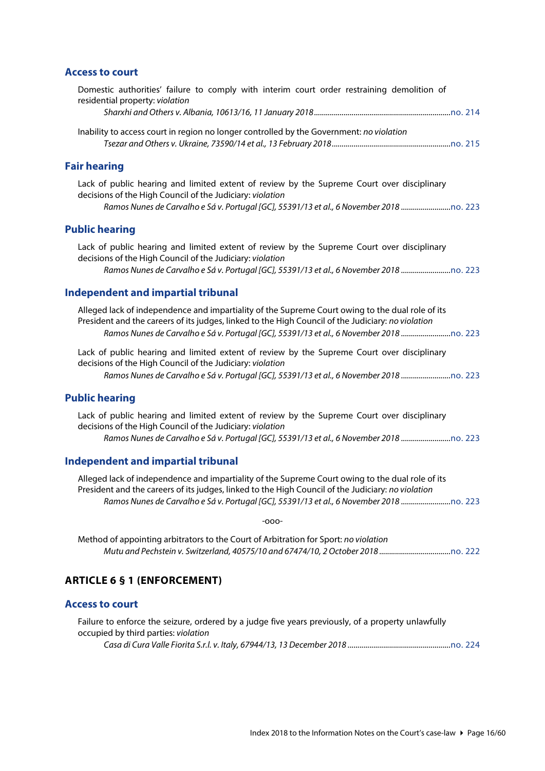#### <span id="page-15-0"></span>**Access to court**

<span id="page-15-3"></span><span id="page-15-2"></span><span id="page-15-1"></span>

| Domestic authorities' failure to comply with interim court order restraining demolition of<br>residential property: violation                                                                                                                                                             |
|-------------------------------------------------------------------------------------------------------------------------------------------------------------------------------------------------------------------------------------------------------------------------------------------|
|                                                                                                                                                                                                                                                                                           |
| Inability to access court in region no longer controlled by the Government: no violation                                                                                                                                                                                                  |
| <b>Fair hearing</b>                                                                                                                                                                                                                                                                       |
| Lack of public hearing and limited extent of review by the Supreme Court over disciplinary<br>decisions of the High Council of the Judiciary: violation<br>Ramos Nunes de Carvalho e Sá v. Portugal [GC], 55391/13 et al., 6 November 2018                                                |
| <b>Public hearing</b>                                                                                                                                                                                                                                                                     |
| Lack of public hearing and limited extent of review by the Supreme Court over disciplinary<br>decisions of the High Council of the Judiciary: violation<br>Ramos Nunes de Carvalho e Sá v. Portugal [GC], 55391/13 et al., 6 November 2018                                                |
| <b>Independent and impartial tribunal</b>                                                                                                                                                                                                                                                 |
| Alleged lack of independence and impartiality of the Supreme Court owing to the dual role of its<br>President and the careers of its judges, linked to the High Council of the Judiciary: no violation<br>Ramos Nunes de Carvalho e Sá v. Portugal [GC], 55391/13 et al., 6 November 2018 |
| Lack of public hearing and limited extent of review by the Supreme Court over disciplinary<br>decisions of the High Council of the Judiciary: violation<br>Ramos Nunes de Carvalho e Sá v. Portugal [GC], 55391/13 et al., 6 November 2018                                                |
| <b>Public hearing</b>                                                                                                                                                                                                                                                                     |
| Lack of public hearing and limited extent of review by the Supreme Court over disciplinary<br>decisions of the High Council of the Judiciary: violation<br>Ramos Nunes de Carvalho e Sá v. Portugal [GC], 55391/13 et al., 6 November 2018                                                |
| <b>Independent and impartial tribunal</b>                                                                                                                                                                                                                                                 |
| Alleged lack of independence and impartiality of the Supreme Court owing to the dual role of its<br>President and the careers of its judges, linked to the High Council of the Judiciary: no violation<br>Ramos Nunes de Carvalho e Sá v. Portugal [GC], 55391/13 et al., 6 November 2018 |
| -000-                                                                                                                                                                                                                                                                                     |
| Method of appointing arbitrators to the Court of Arbitration for Sport: no violation                                                                                                                                                                                                      |
| <b>ARTICLE 6 § 1 (ENFORCEMENT)</b>                                                                                                                                                                                                                                                        |
| <b>Access to court</b>                                                                                                                                                                                                                                                                    |
| Failure to enforce the seizure, ordered by a judge five years previously, of a property unlawfully<br>occupied by third parties: violation                                                                                                                                                |

<span id="page-15-7"></span><span id="page-15-6"></span><span id="page-15-5"></span><span id="page-15-4"></span>*Casa di Cura Valle Fiorita S.r.l. v. Italy, 67944/13, 13 December 2018 ....................................................*[no. 224](http://www.echr.coe.int/Documents/CLIN_2018_12_224_ENG.pdf)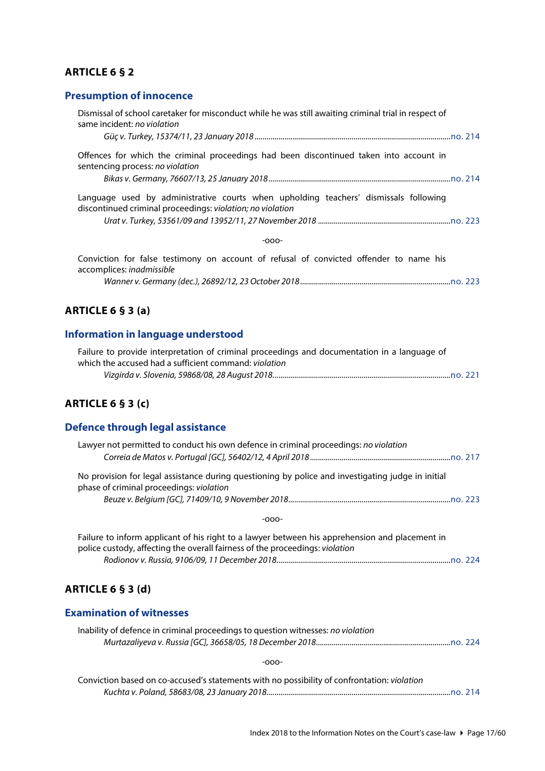### <span id="page-16-0"></span>**ARTICLE 6 § 2**

### <span id="page-16-1"></span>**Presumption of innocence**

| Dismissal of school caretaker for misconduct while he was still awaiting criminal trial in respect of<br>same incident: no violation                  |
|-------------------------------------------------------------------------------------------------------------------------------------------------------|
|                                                                                                                                                       |
| Offences for which the criminal proceedings had been discontinued taken into account in<br>sentencing process: no violation                           |
|                                                                                                                                                       |
| Language used by administrative courts when upholding teachers' dismissals following<br>discontinued criminal proceedings: violation; no violation    |
|                                                                                                                                                       |
| $-000-$                                                                                                                                               |
| Conviction for false testimony on account of refusal of convicted offender to name his<br>accomplices: inadmissible                                   |
|                                                                                                                                                       |
| ARTICLE 6 $§$ 3 (a)                                                                                                                                   |
| Information in language understood                                                                                                                    |
| Failure to provide interpretation of criminal proceedings and documentation in a language of<br>which the accused had a sufficient command: violation |
|                                                                                                                                                       |
| ARTICLE 6 § 3 (c)                                                                                                                                     |

# <span id="page-16-5"></span><span id="page-16-4"></span><span id="page-16-3"></span><span id="page-16-2"></span>**Defence through legal assistance**

| Lawyer not permitted to conduct his own defence in criminal proceedings: no violation                                                                                          |
|--------------------------------------------------------------------------------------------------------------------------------------------------------------------------------|
| No provision for legal assistance during questioning by police and investigating judge in initial<br>phase of criminal proceedings: violation                                  |
|                                                                                                                                                                                |
| $-000-$                                                                                                                                                                        |
| Failure to inform applicant of his right to a lawyer between his apprehension and placement in<br>police custody, affecting the overall fairness of the proceedings: violation |
|                                                                                                                                                                                |
| ARTICLE 6 § 3 (d)                                                                                                                                                              |
| <b>Examination of witnesses</b>                                                                                                                                                |
| Inability of defence in criminal proceedings to question witnesses: no violation                                                                                               |

-ooo-

<span id="page-16-7"></span><span id="page-16-6"></span>

| Conviction based on co-accused's statements with no possibility of confrontation: violation |  |
|---------------------------------------------------------------------------------------------|--|
|                                                                                             |  |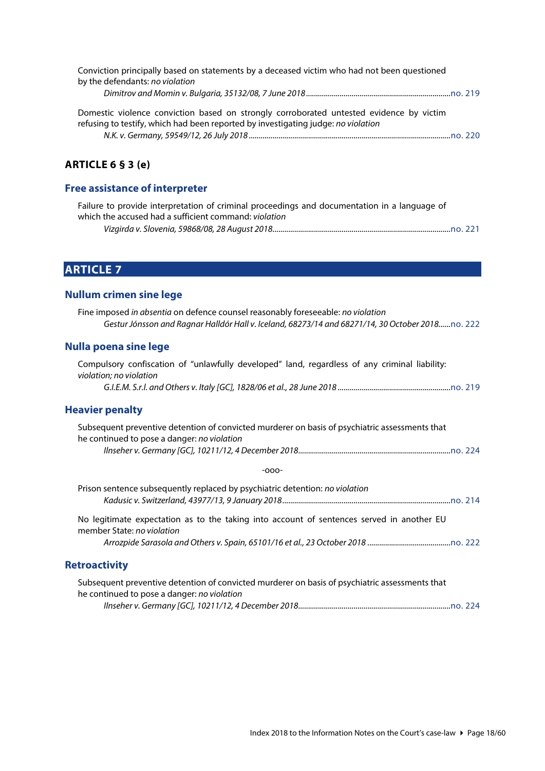| Conviction principally based on statements by a deceased victim who had not been questioned<br>by the defendants: no violation                                               |  |
|------------------------------------------------------------------------------------------------------------------------------------------------------------------------------|--|
|                                                                                                                                                                              |  |
| Domestic violence conviction based on strongly corroborated untested evidence by victim<br>refusing to testify, which had been reported by investigating judge: no violation |  |
|                                                                                                                                                                              |  |

#### <span id="page-17-0"></span>**ARTICLE 6 § 3 (e)**

#### <span id="page-17-1"></span>**Free assistance of interpreter**

| Failure to provide interpretation of criminal proceedings and documentation in a language of |  |
|----------------------------------------------------------------------------------------------|--|
| which the accused had a sufficient command: violation                                        |  |
|                                                                                              |  |

# <span id="page-17-2"></span>**ARTICLE 7**

#### <span id="page-17-3"></span>**Nullum crimen sine lege**

Fine imposed *in absentia* on defence counsel reasonably foreseeable: *no violation Gestur Jónsson and Ragnar Halldór Hall v. Iceland, 68273/14 and 68271/14, 30 October 2018......*[no. 222](http://www.echr.coe.int/Documents/CLIN_2018_10_222_ENG.pdf)

# <span id="page-17-4"></span>**Nulla poena sine lege**

<span id="page-17-5"></span>

| Compulsory confiscation of "unlawfully developed" land, regardless of any criminal liability:<br>violation; no violation                      |
|-----------------------------------------------------------------------------------------------------------------------------------------------|
|                                                                                                                                               |
| <b>Heavier penalty</b>                                                                                                                        |
| Subsequent preventive detention of convicted murderer on basis of psychiatric assessments that<br>he continued to pose a danger: no violation |
|                                                                                                                                               |
| $-000-$                                                                                                                                       |
| Prison sentence subsequently replaced by psychiatric detention: no violation                                                                  |
| No legitimate expectation as to the taking into account of sentences served in another EU<br>member State: no violation                       |
|                                                                                                                                               |
| <b>Retroactivity</b>                                                                                                                          |

<span id="page-17-6"></span>

| Subsequent preventive detention of convicted murderer on basis of psychiatric assessments that |  |
|------------------------------------------------------------------------------------------------|--|
| he continued to pose a danger: no violation                                                    |  |
|                                                                                                |  |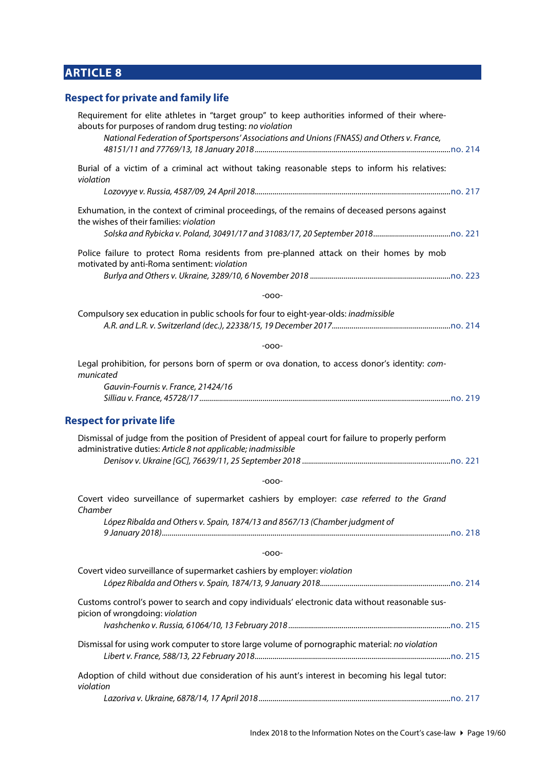# <span id="page-18-0"></span>**ARTICLE 8**

# <span id="page-18-1"></span>**Respect for private and family life**

<span id="page-18-2"></span>

| Requirement for elite athletes in "target group" to keep authorities informed of their where-<br>abouts for purposes of random drug testing: no violation<br>National Federation of Sportspersons' Associations and Unions (FNASS) and Others v. France, |
|----------------------------------------------------------------------------------------------------------------------------------------------------------------------------------------------------------------------------------------------------------|
| Burial of a victim of a criminal act without taking reasonable steps to inform his relatives:<br>violation                                                                                                                                               |
|                                                                                                                                                                                                                                                          |
| Exhumation, in the context of criminal proceedings, of the remains of deceased persons against<br>the wishes of their families: violation                                                                                                                |
| Police failure to protect Roma residents from pre-planned attack on their homes by mob<br>motivated by anti-Roma sentiment: violation                                                                                                                    |
| $-000-$                                                                                                                                                                                                                                                  |
| Compulsory sex education in public schools for four to eight-year-olds: inadmissible                                                                                                                                                                     |
| $-000-$                                                                                                                                                                                                                                                  |
| Legal prohibition, for persons born of sperm or ova donation, to access donor's identity: com-<br>municated<br>Gauvin-Fournis v. France, 21424/16                                                                                                        |
|                                                                                                                                                                                                                                                          |
| <b>Respect for private life</b>                                                                                                                                                                                                                          |
| Dismissal of judge from the position of President of appeal court for failure to properly perform<br>administrative duties: Article 8 not applicable; inadmissible                                                                                       |
| $-000-$                                                                                                                                                                                                                                                  |
| Covert video surveillance of supermarket cashiers by employer: case referred to the Grand<br>Chamber                                                                                                                                                     |
| López Ribalda and Others v. Spain, 1874/13 and 8567/13 (Chamber judgment of                                                                                                                                                                              |
| $-000-$                                                                                                                                                                                                                                                  |
| Covert video surveillance of supermarket cashiers by employer: violation                                                                                                                                                                                 |
| Customs control's power to search and copy individuals' electronic data without reasonable sus-<br>picion of wrongdoing: violation                                                                                                                       |
| Dismissal for using work computer to store large volume of pornographic material: no violation                                                                                                                                                           |
| Adoption of child without due consideration of his aunt's interest in becoming his legal tutor:<br>violation                                                                                                                                             |
|                                                                                                                                                                                                                                                          |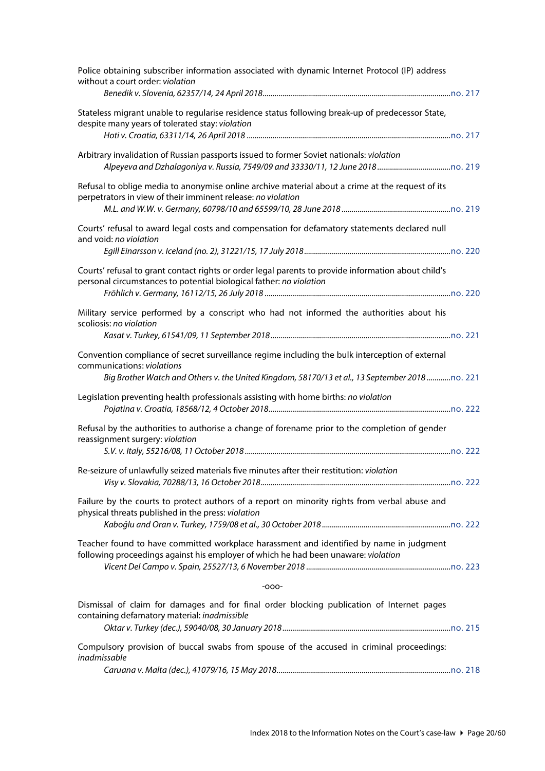| Police obtaining subscriber information associated with dynamic Internet Protocol (IP) address<br>without a court order: violation                                                                                             |
|--------------------------------------------------------------------------------------------------------------------------------------------------------------------------------------------------------------------------------|
| Stateless migrant unable to regularise residence status following break-up of predecessor State,<br>despite many years of tolerated stay: violation                                                                            |
| Arbitrary invalidation of Russian passports issued to former Soviet nationals: violation                                                                                                                                       |
| Refusal to oblige media to anonymise online archive material about a crime at the request of its<br>perpetrators in view of their imminent release: no violation                                                               |
| Courts' refusal to award legal costs and compensation for defamatory statements declared null<br>and void: no violation                                                                                                        |
|                                                                                                                                                                                                                                |
| Courts' refusal to grant contact rights or order legal parents to provide information about child's<br>personal circumstances to potential biological father: no violation                                                     |
| Military service performed by a conscript who had not informed the authorities about his<br>scoliosis: no violation                                                                                                            |
| Convention compliance of secret surveillance regime including the bulk interception of external<br>communications: violations<br>Big Brother Watch and Others v. the United Kingdom, 58170/13 et al., 13 September 2018no. 221 |
| Legislation preventing health professionals assisting with home births: no violation                                                                                                                                           |
| Refusal by the authorities to authorise a change of forename prior to the completion of gender<br>reassignment surgery: violation                                                                                              |
| Re-seizure of unlawfully seized materials five minutes after their restitution: violation                                                                                                                                      |
| Failure by the courts to protect authors of a report on minority rights from verbal abuse and<br>physical threats published in the press: violation                                                                            |
| Teacher found to have committed workplace harassment and identified by name in judgment<br>following proceedings against his employer of which he had been unaware: violation                                                  |
| $-000-$                                                                                                                                                                                                                        |
| Dismissal of claim for damages and for final order blocking publication of Internet pages<br>containing defamatory material: inadmissible                                                                                      |
| Compulsory provision of buccal swabs from spouse of the accused in criminal proceedings:<br>inadmissable                                                                                                                       |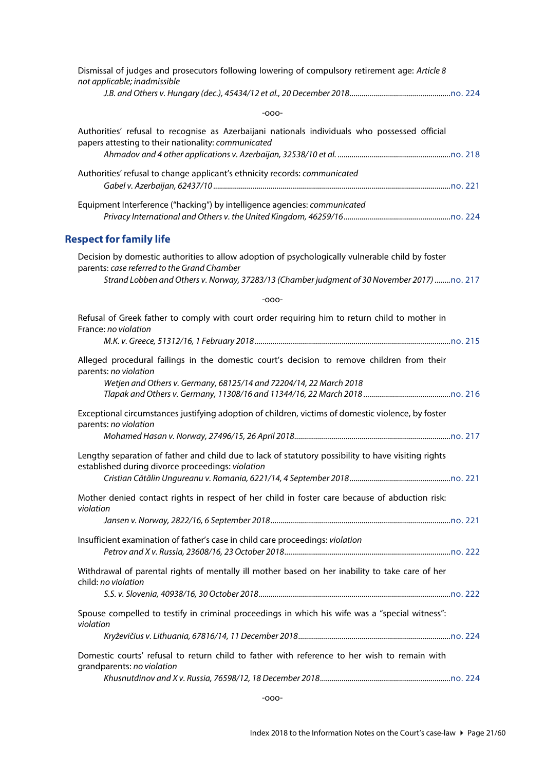<span id="page-20-0"></span>

| Dismissal of judges and prosecutors following lowering of compulsory retirement age: Article 8<br>not applicable; inadmissible                                                                                                                 |
|------------------------------------------------------------------------------------------------------------------------------------------------------------------------------------------------------------------------------------------------|
|                                                                                                                                                                                                                                                |
| $-000-$                                                                                                                                                                                                                                        |
| Authorities' refusal to recognise as Azerbaijani nationals individuals who possessed official<br>papers attesting to their nationality: communicated                                                                                           |
|                                                                                                                                                                                                                                                |
| Authorities' refusal to change applicant's ethnicity records: communicated                                                                                                                                                                     |
| Equipment Interference ("hacking") by intelligence agencies: communicated                                                                                                                                                                      |
| <b>Respect for family life</b>                                                                                                                                                                                                                 |
| Decision by domestic authorities to allow adoption of psychologically vulnerable child by foster<br>parents: case referred to the Grand Chamber<br>Strand Lobben and Others v. Norway, 37283/13 (Chamber judgment of 30 November 2017) no. 217 |
|                                                                                                                                                                                                                                                |
| $-000-$                                                                                                                                                                                                                                        |
| Refusal of Greek father to comply with court order requiring him to return child to mother in<br>France: no violation                                                                                                                          |
| Alleged procedural failings in the domestic court's decision to remove children from their<br>parents: no violation<br>Wetjen and Others v. Germany, 68125/14 and 72204/14, 22 March 2018                                                      |
| Exceptional circumstances justifying adoption of children, victims of domestic violence, by foster<br>parents: no violation                                                                                                                    |
| Lengthy separation of father and child due to lack of statutory possibility to have visiting rights<br>established during divorce proceedings: violation                                                                                       |
| Mother denied contact rights in respect of her child in foster care because of abduction risk:<br>violation                                                                                                                                    |
|                                                                                                                                                                                                                                                |
| Insufficient examination of father's case in child care proceedings: violation                                                                                                                                                                 |
| Withdrawal of parental rights of mentally ill mother based on her inability to take care of her<br>child: no violation                                                                                                                         |
| Spouse compelled to testify in criminal proceedings in which his wife was a "special witness":<br>violation                                                                                                                                    |
|                                                                                                                                                                                                                                                |
| Domestic courts' refusal to return child to father with reference to her wish to remain with<br>grandparents: no violation                                                                                                                     |
|                                                                                                                                                                                                                                                |

-ooo-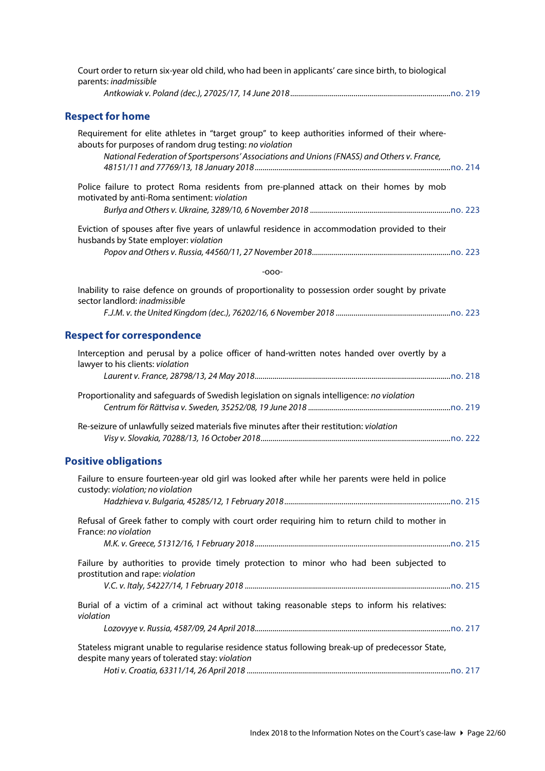<span id="page-21-2"></span><span id="page-21-1"></span><span id="page-21-0"></span>

| Court order to return six-year old child, who had been in applicants' care since birth, to biological<br>parents: inadmissible                                                                                                                           |
|----------------------------------------------------------------------------------------------------------------------------------------------------------------------------------------------------------------------------------------------------------|
| <b>Respect for home</b>                                                                                                                                                                                                                                  |
| Requirement for elite athletes in "target group" to keep authorities informed of their where-<br>abouts for purposes of random drug testing: no violation<br>National Federation of Sportspersons' Associations and Unions (FNASS) and Others v. France, |
| Police failure to protect Roma residents from pre-planned attack on their homes by mob<br>motivated by anti-Roma sentiment: violation                                                                                                                    |
| Eviction of spouses after five years of unlawful residence in accommodation provided to their<br>husbands by State employer: violation                                                                                                                   |
|                                                                                                                                                                                                                                                          |
| $-000-$                                                                                                                                                                                                                                                  |
| Inability to raise defence on grounds of proportionality to possession order sought by private<br>sector landlord: inadmissible                                                                                                                          |
|                                                                                                                                                                                                                                                          |
| <b>Respect for correspondence</b>                                                                                                                                                                                                                        |
| Interception and perusal by a police officer of hand-written notes handed over overtly by a<br>lawyer to his clients: violation                                                                                                                          |
| Proportionality and safeguards of Swedish legislation on signals intelligence: no violation                                                                                                                                                              |
| Re-seizure of unlawfully seized materials five minutes after their restitution: violation                                                                                                                                                                |
| <b>Positive obligations</b>                                                                                                                                                                                                                              |
| Failure to ensure fourteen-year old girl was looked after while her parents were held in police<br>custody: violation; no violation                                                                                                                      |
| Refusal of Greek father to comply with court order requiring him to return child to mother in<br>France: no violation                                                                                                                                    |
|                                                                                                                                                                                                                                                          |
| Failure by authorities to provide timely protection to minor who had been subjected to<br>prostitution and rape: violation                                                                                                                               |
|                                                                                                                                                                                                                                                          |
| Burial of a victim of a criminal act without taking reasonable steps to inform his relatives:<br>violation                                                                                                                                               |
| Stateless migrant unable to regularise residence status following break-up of predecessor State,<br>despite many years of tolerated stay: violation                                                                                                      |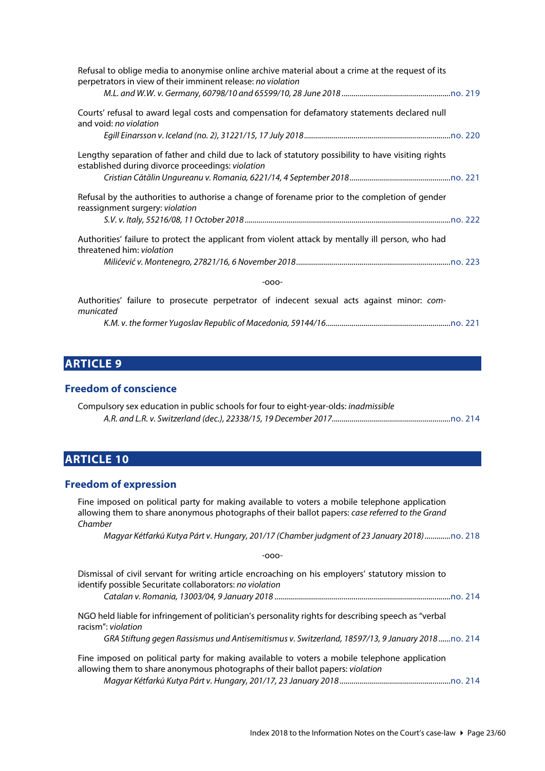| Refusal to oblige media to anonymise online archive material about a crime at the request of its<br>perpetrators in view of their imminent release: no violation |
|------------------------------------------------------------------------------------------------------------------------------------------------------------------|
|                                                                                                                                                                  |
| Courts' refusal to award legal costs and compensation for defamatory statements declared null<br>and void: no violation                                          |
|                                                                                                                                                                  |
| Lengthy separation of father and child due to lack of statutory possibility to have visiting rights<br>established during divorce proceedings: violation         |
|                                                                                                                                                                  |
| Refusal by the authorities to authorise a change of forename prior to the completion of gender<br>reassignment surgery: violation                                |
|                                                                                                                                                                  |
| Authorities' failure to protect the applicant from violent attack by mentally ill person, who had<br>threatened him: violation                                   |
|                                                                                                                                                                  |
| $-000-$                                                                                                                                                          |
| Authorities' failure to prosecute perpetrator of indecent sexual acts against minor: com-<br>municated                                                           |

*K.M. v. the former Yugoslav Republic of Macedonia, 59144/16...............................................................*[no. 221](http://www.echr.coe.int/Documents/CLIN_2018_09_221_ENG.pdf)

# <span id="page-22-0"></span>**ARTICLE 9**

#### <span id="page-22-1"></span>**Freedom of conscience**

| Compulsory sex education in public schools for four to eight-year-olds: inadmissible |  |
|--------------------------------------------------------------------------------------|--|
|                                                                                      |  |

# <span id="page-22-2"></span>**ARTICLE 10**

#### <span id="page-22-3"></span>**Freedom of expression**

Fine imposed on political party for making available to voters a mobile telephone application allowing them to share anonymous photographs of their ballot papers: *case referred to the Grand Chamber*

*Magyar Kétfarkú Kutya Párt v. Hungary, 201/17 (Chamber judgment of 23 January 2018).............*[no. 218](http://www.echr.coe.int/Documents/CLIN_2018_05_218_ENG.pdf)

-ooo-

Dismissal of civil servant for writing article encroaching on his employers' statutory mission to identify possible Securitate collaborators: *no violation Catalan v. Romania, 13003/04, 9 January 2018 .........................................................................................*[no. 214](http://www.echr.coe.int/Documents/CLIN_2018_01_214_ENG.pdf)

NGO held liable for infringement of politician's personality rights for describing speech as "verbal racism": *violation*

*GRA Stiftung gegen Rassismus und Antisemitismus v. Switzerland, 18597/13, 9 January 2018 ......*[no. 214](http://www.echr.coe.int/Documents/CLIN_2018_01_214_ENG.pdf)

Fine imposed on political party for making available to voters a mobile telephone application allowing them to share anonymous photographs of their ballot papers: *violation*

*Magyar Kétfarkú Kutya Párt v. Hungary, 201/17, 23 January 2018 ........................................................*[no. 214](http://www.echr.coe.int/Documents/CLIN_2018_01_214_ENG.pdf)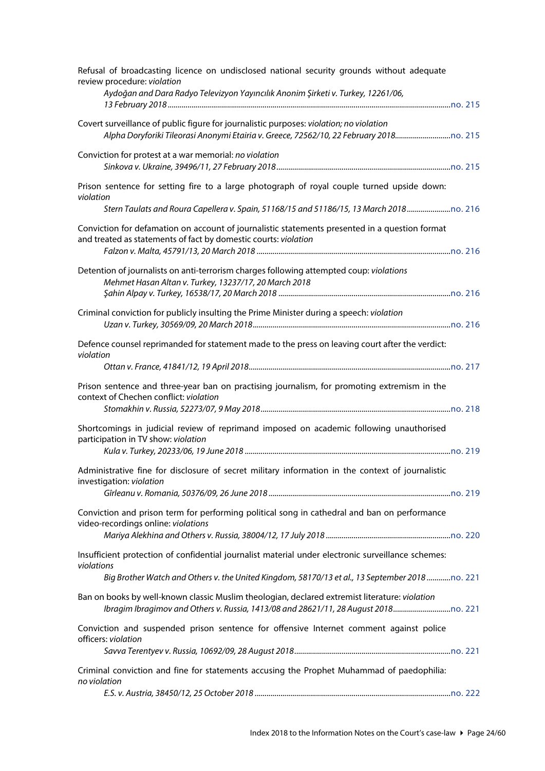| Refusal of broadcasting licence on undisclosed national security grounds without adequate<br>review procedure: violation<br>Aydoğan and Dara Radyo Televizyon Yayıncılık Anonim Şirketi v. Turkey, 12261/06,      |
|-------------------------------------------------------------------------------------------------------------------------------------------------------------------------------------------------------------------|
| Covert surveillance of public figure for journalistic purposes: violation; no violation                                                                                                                           |
| Conviction for protest at a war memorial: no violation                                                                                                                                                            |
| Prison sentence for setting fire to a large photograph of royal couple turned upside down:<br>violation<br>Stern Taulats and Roura Capellera v. Spain, 51168/15 and 51186/15, 13 March 2018                       |
| Conviction for defamation on account of journalistic statements presented in a question format<br>and treated as statements of fact by domestic courts: violation                                                 |
| Detention of journalists on anti-terrorism charges following attempted coup: violations<br>Mehmet Hasan Altan v. Turkey, 13237/17, 20 March 2018                                                                  |
| Criminal conviction for publicly insulting the Prime Minister during a speech: violation                                                                                                                          |
| Defence counsel reprimanded for statement made to the press on leaving court after the verdict:<br>violation                                                                                                      |
| Prison sentence and three-year ban on practising journalism, for promoting extremism in the<br>context of Chechen conflict: violation                                                                             |
| Shortcomings in judicial review of reprimand imposed on academic following unauthorised<br>participation in TV show: violation                                                                                    |
| Administrative fine for disclosure of secret military information in the context of journalistic<br>investigation: violation                                                                                      |
| Conviction and prison term for performing political song in cathedral and ban on performance<br>video-recordings online: violations                                                                               |
| Insufficient protection of confidential journalist material under electronic surveillance schemes:<br>violations<br>Big Brother Watch and Others v. the United Kingdom, 58170/13 et al., 13 September 2018no. 221 |
| Ban on books by well-known classic Muslim theologian, declared extremist literature: violation<br>Ibragim Ibragimov and Others v. Russia, 1413/08 and 28621/11, 28 August 2018                                    |
| Conviction and suspended prison sentence for offensive Internet comment against police<br>officers: violation                                                                                                     |
| Criminal conviction and fine for statements accusing the Prophet Muhammad of paedophilia:<br>no violation                                                                                                         |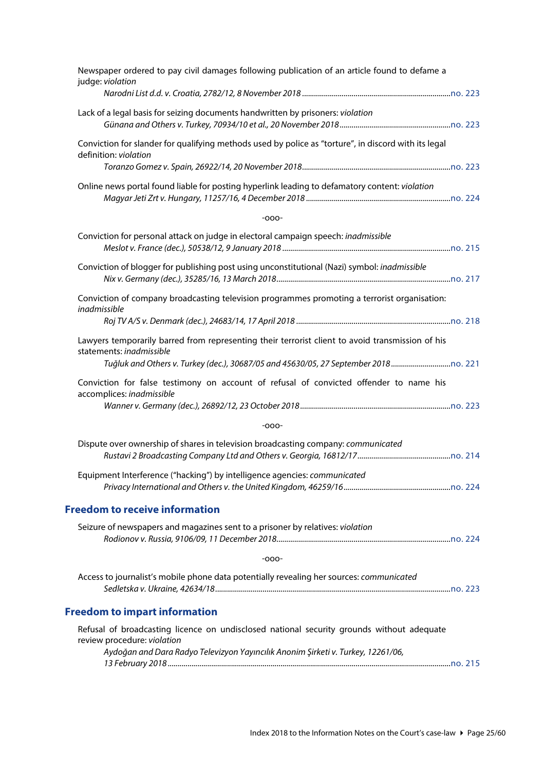<span id="page-24-1"></span><span id="page-24-0"></span>

| Newspaper ordered to pay civil damages following publication of an article found to defame a<br>judge: violation                                                                                             |  |
|--------------------------------------------------------------------------------------------------------------------------------------------------------------------------------------------------------------|--|
|                                                                                                                                                                                                              |  |
| Lack of a legal basis for seizing documents handwritten by prisoners: violation                                                                                                                              |  |
| Conviction for slander for qualifying methods used by police as "torture", in discord with its legal<br>definition: violation                                                                                |  |
| Online news portal found liable for posting hyperlink leading to defamatory content: violation                                                                                                               |  |
| $-000-$                                                                                                                                                                                                      |  |
| Conviction for personal attack on judge in electoral campaign speech: inadmissible                                                                                                                           |  |
| Conviction of blogger for publishing post using unconstitutional (Nazi) symbol: inadmissible                                                                                                                 |  |
| Conviction of company broadcasting television programmes promoting a terrorist organisation:<br>inadmissible                                                                                                 |  |
|                                                                                                                                                                                                              |  |
| Lawyers temporarily barred from representing their terrorist client to avoid transmission of his<br>statements: inadmissible<br>Tuğluk and Others v. Turkey (dec.), 30687/05 and 45630/05, 27 September 2018 |  |
| Conviction for false testimony on account of refusal of convicted offender to name his<br>accomplices: inadmissible                                                                                          |  |
|                                                                                                                                                                                                              |  |
| $-000-$                                                                                                                                                                                                      |  |
| Dispute over ownership of shares in television broadcasting company: communicated                                                                                                                            |  |
| Equipment Interference ("hacking") by intelligence agencies: communicated                                                                                                                                    |  |
| <b>Freedom to receive information</b>                                                                                                                                                                        |  |
| Seizure of newspapers and magazines sent to a prisoner by relatives: violation                                                                                                                               |  |
|                                                                                                                                                                                                              |  |
| $-000-$                                                                                                                                                                                                      |  |
| Access to journalist's mobile phone data potentially revealing her sources: communicated                                                                                                                     |  |
| <b>Freedom to impart information</b>                                                                                                                                                                         |  |
| Refusal of broadcasting licence on undisclosed national security grounds without adequate                                                                                                                    |  |
| review procedure: violation<br>Aydoğan and Dara Radyo Televizyon Yayıncılık Anonim Şirketi v. Turkey, 12261/06,                                                                                              |  |
|                                                                                                                                                                                                              |  |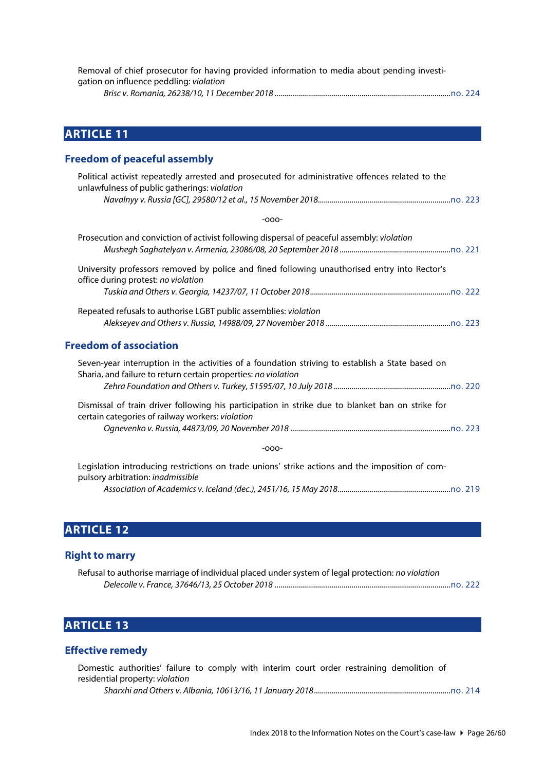| Removal of chief prosecutor for having provided information to media about pending investi- |  |
|---------------------------------------------------------------------------------------------|--|
| gation on influence peddling: <i>violation</i>                                              |  |
|                                                                                             |  |

<span id="page-25-0"></span>**ARTICLE 11**

# <span id="page-25-1"></span>**Freedom of peaceful assembly**

| Political activist repeatedly arrested and prosecuted for administrative offences related to the<br>unlawfulness of public gatherings: violation |
|--------------------------------------------------------------------------------------------------------------------------------------------------|
|                                                                                                                                                  |
| -000-                                                                                                                                            |
| Prosecution and conviction of activist following dispersal of peaceful assembly: <i>violation</i>                                                |
| University professors removed by police and fined following unauthorised entry into Rector's<br>office during protest: no violation              |
|                                                                                                                                                  |
| Repeated refusals to authorise LGBT public assemblies: violation                                                                                 |
|                                                                                                                                                  |

# <span id="page-25-2"></span>**Freedom of association**

| Seven-year interruption in the activities of a foundation striving to establish a State based on                                                     |  |
|------------------------------------------------------------------------------------------------------------------------------------------------------|--|
| Sharia, and failure to return certain properties: no violation                                                                                       |  |
|                                                                                                                                                      |  |
| Dismissal of train driver following his participation in strike due to blanket ban on strike for<br>certain categories of railway workers: violation |  |

#### -ooo-

Legislation introducing restrictions on trade unions' strike actions and the imposition of compulsory arbitration: *inadmissible Association of Academics v. Iceland (dec.), 2451/16, 15 May 2018.........................................................*[no. 219](http://www.echr.coe.int/Documents/CLIN_2018_06_219_ENG.pdf)

# <span id="page-25-3"></span>**ARTICLE 12**

#### <span id="page-25-4"></span>**Right to marry**

| Refusal to authorise marriage of individual placed under system of legal protection: no violation |  |
|---------------------------------------------------------------------------------------------------|--|
|                                                                                                   |  |

# <span id="page-25-5"></span>**ARTICLE 13**

#### <span id="page-25-6"></span>**Effective remedy**

|                                 |  |  |  |  | Domestic authorities' failure to comply with interim court order restraining demolition of |  |
|---------------------------------|--|--|--|--|--------------------------------------------------------------------------------------------|--|
| residential property: violation |  |  |  |  |                                                                                            |  |
|                                 |  |  |  |  |                                                                                            |  |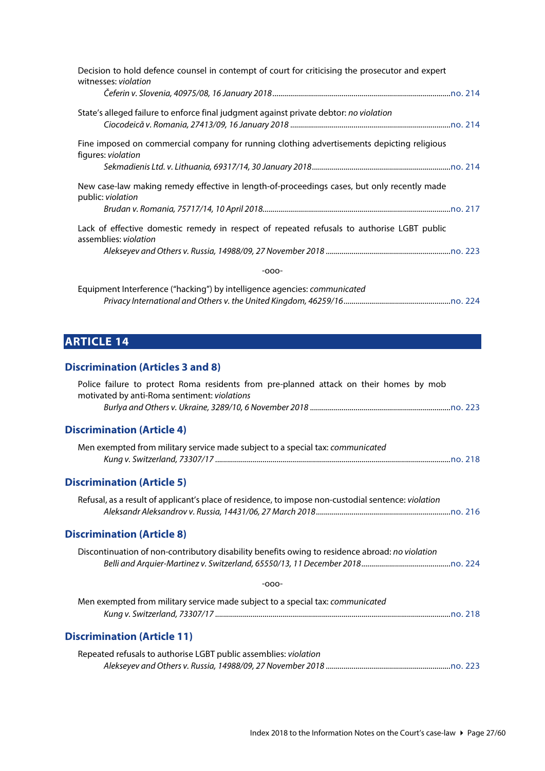| Decision to hold defence counsel in contempt of court for criticising the prosecutor and expert<br>witnesses: violation |
|-------------------------------------------------------------------------------------------------------------------------|
|                                                                                                                         |
| State's alleged failure to enforce final judgment against private debtor: no violation                                  |
|                                                                                                                         |
| Fine imposed on commercial company for running clothing advertisements depicting religious<br>figures: <i>violation</i> |
|                                                                                                                         |
| New case-law making remedy effective in length-of-proceedings cases, but only recently made<br>public: violation        |
|                                                                                                                         |
| Lack of effective domestic remedy in respect of repeated refusals to authorise LGBT public<br>assemblies: violation     |
|                                                                                                                         |
| $-000-$                                                                                                                 |

Equipment Interference ("hacking") by intelligence agencies: *communicated Privacy International and Others v. the United Kingdom, 46259/16......................................................*[no. 224](http://www.echr.coe.int/Documents/CLIN_2018_12_224_ENG.pdf)

# <span id="page-26-0"></span>**ARTICLE 14**

<span id="page-26-1"></span>**Discrimination (Articles 3 and 8)**

<span id="page-26-5"></span><span id="page-26-4"></span><span id="page-26-3"></span><span id="page-26-2"></span>

| Police failure to protect Roma residents from pre-planned attack on their homes by mob              |
|-----------------------------------------------------------------------------------------------------|
| motivated by anti-Roma sentiment: violations                                                        |
| <b>Discrimination (Article 4)</b>                                                                   |
| Men exempted from military service made subject to a special tax: communicated                      |
| <b>Discrimination (Article 5)</b>                                                                   |
| Refusal, as a result of applicant's place of residence, to impose non-custodial sentence: violation |
| <b>Discrimination (Article 8)</b>                                                                   |
| Discontinuation of non-contributory disability benefits owing to residence abroad: no violation     |
| $-000-$                                                                                             |
| Men exempted from military service made subject to a special tax: communicated                      |
| <b>Discrimination (Article 11)</b>                                                                  |
| Repeated refusals to authorise LGBT public assemblies: violation                                    |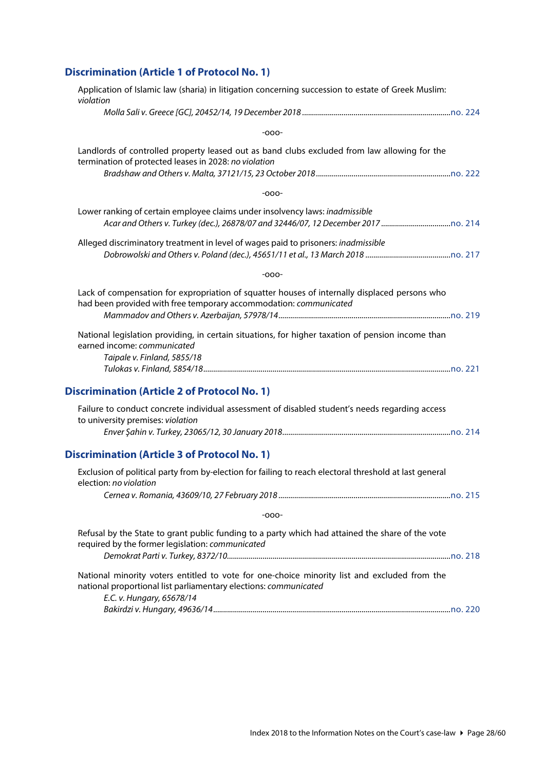# <span id="page-27-0"></span>**Discrimination (Article 1 of Protocol No. 1)**

<span id="page-27-2"></span><span id="page-27-1"></span>

| Application of Islamic law (sharia) in litigation concerning succession to estate of Greek Muslim:<br>violation                                                                               |  |
|-----------------------------------------------------------------------------------------------------------------------------------------------------------------------------------------------|--|
|                                                                                                                                                                                               |  |
| $-000-$                                                                                                                                                                                       |  |
| Landlords of controlled property leased out as band clubs excluded from law allowing for the<br>termination of protected leases in 2028: no violation                                         |  |
| $-000-$                                                                                                                                                                                       |  |
| Lower ranking of certain employee claims under insolvency laws: inadmissible                                                                                                                  |  |
| Alleged discriminatory treatment in level of wages paid to prisoners: inadmissible                                                                                                            |  |
| $-000-$                                                                                                                                                                                       |  |
| Lack of compensation for expropriation of squatter houses of internally displaced persons who<br>had been provided with free temporary accommodation: communicated                            |  |
| National legislation providing, in certain situations, for higher taxation of pension income than<br>earned income: communicated<br>Taipale v. Finland, 5855/18                               |  |
| <b>Discrimination (Article 2 of Protocol No. 1)</b>                                                                                                                                           |  |
| Failure to conduct concrete individual assessment of disabled student's needs regarding access<br>to university premises: violation                                                           |  |
| <b>Discrimination (Article 3 of Protocol No. 1)</b>                                                                                                                                           |  |
| Exclusion of political party from by-election for failing to reach electoral threshold at last general<br>election: no violation                                                              |  |
|                                                                                                                                                                                               |  |
| $-000-$                                                                                                                                                                                       |  |
| Refusal by the State to grant public funding to a party which had attained the share of the vote<br>required by the former legislation: communicated                                          |  |
| National minority voters entitled to vote for one-choice minority list and excluded from the<br>national proportional list parliamentary elections: communicated<br>E.C. v. Hungary, 65678/14 |  |
|                                                                                                                                                                                               |  |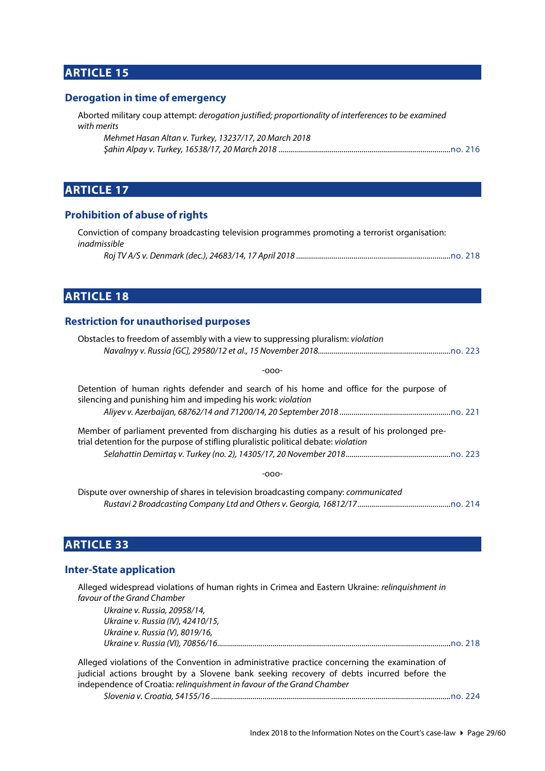# <span id="page-28-0"></span>**ARTICLE 15**

#### <span id="page-28-1"></span>**Derogation in time of emergency**

Aborted military coup attempt: *derogation justified; proportionality of interferences to be examined with merits*

| Mehmet Hasan Altan v. Turkey, 13237/17, 20 March 2018 |  |
|-------------------------------------------------------|--|
|                                                       |  |

# <span id="page-28-2"></span>**ARTICLE 17**

#### <span id="page-28-3"></span>**Prohibition of abuse of rights**

|              | Conviction of company broadcasting television programmes promoting a terrorist organisation: |  |
|--------------|----------------------------------------------------------------------------------------------|--|
| inadmissible |                                                                                              |  |
|              |                                                                                              |  |

### <span id="page-28-4"></span>**ARTICLE 18**

#### <span id="page-28-5"></span>**Restriction for unauthorised purposes**

| Obstacles to freedom of assembly with a view to suppressing pluralism: <i>violation</i>                                                                                             |
|-------------------------------------------------------------------------------------------------------------------------------------------------------------------------------------|
|                                                                                                                                                                                     |
| -000-                                                                                                                                                                               |
| Detention of human rights defender and search of his home and office for the purpose of<br>silencing and punishing him and impeding his work: violation                             |
|                                                                                                                                                                                     |
| Member of parliament prevented from discharging his duties as a result of his prolonged pre-<br>trial detention for the purpose of stifling pluralistic political debate: violation |
|                                                                                                                                                                                     |
| -000-                                                                                                                                                                               |
|                                                                                                                                                                                     |

Dispute over ownership of shares in television broadcasting company: *communicated Rustavi 2 Broadcasting Company Ltd and Others v. Georgia, 16812/17...............................................*[no. 214](http://www.echr.coe.int/Documents/CLIN_2018_01_214_ENG.pdf)

# <span id="page-28-6"></span>**ARTICLE 33**

#### <span id="page-28-7"></span>**Inter-State application**

| Alleged widespread violations of human rights in Crimea and Eastern Ukraine: relinguishment in                                                                                            |
|-------------------------------------------------------------------------------------------------------------------------------------------------------------------------------------------|
| favour of the Grand Chamber                                                                                                                                                               |
| Ukraine v. Russia, 20958/14,                                                                                                                                                              |
| Ukraine v. Russia (IV), 42410/15,                                                                                                                                                         |
| Ukraine v. Russia (V), 8019/16,                                                                                                                                                           |
|                                                                                                                                                                                           |
| Alleged violations of the Convention in administrative practice concerning the examination of<br>judicial actions brought by a Slovene bank seeking recovery of debts incurred before the |

judicial actions brought by a Slovene bank seeking recovery of debts incurred before the independence of Croatia: *relinquishment in favour of the Grand Chamber*

*Slovenia v. Croatia, 54155/16 .........................................................................................................................*[no. 224](http://www.echr.coe.int/Documents/CLIN_2018_12_224_ENG.pdf)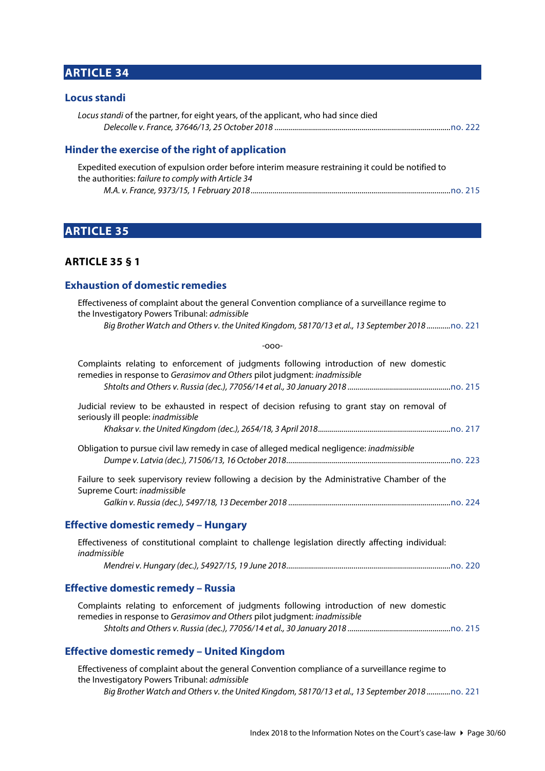# <span id="page-29-0"></span>**ARTICLE 34**

#### <span id="page-29-1"></span>**Locus standi**

| Locus standi of the partner, for eight years, of the applicant, who had since died |  |
|------------------------------------------------------------------------------------|--|
|                                                                                    |  |

#### <span id="page-29-2"></span>**Hinder the exercise of the right of application**

| Expedited execution of expulsion order before interim measure restraining it could be notified to |  |
|---------------------------------------------------------------------------------------------------|--|
| the authorities: failure to comply with Article 34                                                |  |
|                                                                                                   |  |

# <span id="page-29-3"></span>**ARTICLE 35**

### <span id="page-29-4"></span>**ARTICLE 35 § 1**

#### <span id="page-29-5"></span>**Exhaustion of domestic remedies**

| Effectiveness of complaint about the general Convention compliance of a surveillance regime to<br>the Investigatory Powers Tribunal: admissible                     |
|---------------------------------------------------------------------------------------------------------------------------------------------------------------------|
| Big Brother Watch and Others v. the United Kingdom, 58170/13 et al., 13 September 2018no. 221                                                                       |
| $-000-$                                                                                                                                                             |
| Complaints relating to enforcement of judgments following introduction of new domestic<br>remedies in response to Gerasimov and Others pilot judgment: inadmissible |
|                                                                                                                                                                     |
| Judicial review to be exhausted in respect of decision refusing to grant stay on removal of<br>seriously ill people: inadmissible                                   |
|                                                                                                                                                                     |
| Obligation to pursue civil law remedy in case of alleged medical negligence: inadmissible                                                                           |
| Failure to seek supervisory review following a decision by the Administrative Chamber of the<br>Supreme Court: inadmissible                                         |
|                                                                                                                                                                     |
| <b>Effective domestic remedy - Hungary</b>                                                                                                                          |
| Effectiveness of constitutional complaint to challenge legislation directly affecting individual:<br>inadmissible                                                   |
|                                                                                                                                                                     |
| <b>Effective domestic remedy – Russia</b>                                                                                                                           |
| Complaints relating to enforcement of judgments following introduction of new domestic<br>remedies in response to Gerasimov and Others pilot judgment: inadmissible |

<span id="page-29-7"></span><span id="page-29-6"></span>*Shtolts and Others v. Russia (dec.), 77056/14 et al., 30 January 2018 ....................................................*[no. 215](http://www.echr.coe.int/Documents/CLIN_2018_02_215_ENG.pdf)

#### <span id="page-29-8"></span>**Effective domestic remedy – United Kingdom**

Effectiveness of complaint about the general Convention compliance of a surveillance regime to the Investigatory Powers Tribunal: *admissible Big Brother Watch and Others v. the United Kingdom, 58170/13 et al., 13 September 2018 ............*[no. 221](http://www.echr.coe.int/Documents/CLIN_2018_09_221_ENG.pdf)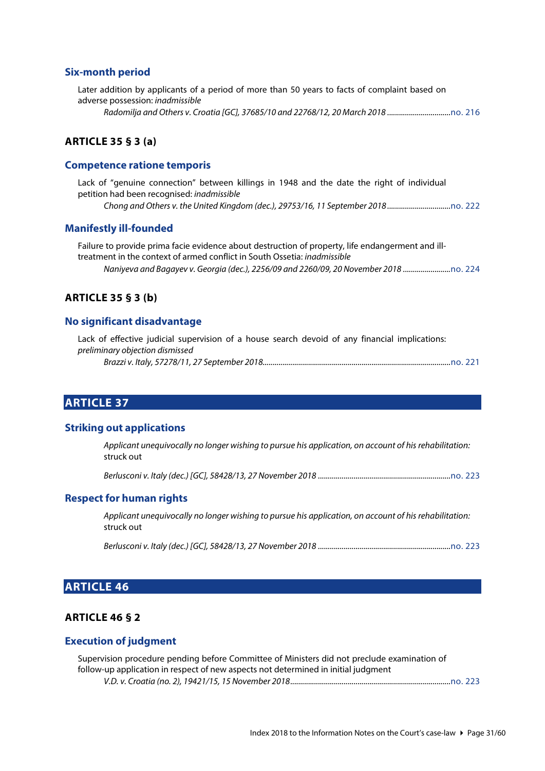#### <span id="page-30-0"></span>**Six-month period**

| Later addition by applicants of a period of more than 50 years to facts of complaint based on |  |
|-----------------------------------------------------------------------------------------------|--|
| adverse possession: <i>inadmissible</i>                                                       |  |
| Radomilja and Others v. Croatia [GC], 37685/10 and 22768/12, 20 March 2018                    |  |

#### <span id="page-30-1"></span>**ARTICLE 35 § 3 (a)**

#### <span id="page-30-2"></span>**Competence ratione temporis**

Lack of "genuine connection" between killings in 1948 and the date the right of individual petition had been recognised: *inadmissible Chong and Others v. the United Kingdom (dec.), 29753/16, 11 September 2018 ................................*[no. 222](http://www.echr.coe.int/Documents/CLIN_2018_10_222_ENG.pdf)

#### <span id="page-30-3"></span>**Manifestly ill-founded**

Failure to provide prima facie evidence about destruction of property, life endangerment and illtreatment in the context of armed conflict in South Ossetia: *inadmissible Naniyeva and Bagayev v. Georgia (dec.), 2256/09 and 2260/09, 20 November 2018 ........................*[no. 224](http://www.echr.coe.int/Documents/CLIN_2018_12_224_ENG.pdf)

#### <span id="page-30-4"></span>**ARTICLE 35 § 3 (b)**

#### <span id="page-30-5"></span>**No significant disadvantage**

|                                 |  |  |  |  | Lack of effective judicial supervision of a house search devoid of any financial implications: |  |
|---------------------------------|--|--|--|--|------------------------------------------------------------------------------------------------|--|
| preliminary objection dismissed |  |  |  |  |                                                                                                |  |
|                                 |  |  |  |  |                                                                                                |  |

#### <span id="page-30-6"></span>**ARTICLE 37**

#### <span id="page-30-7"></span>**Striking out applications**

*Applicant unequivocally no longer wishing to pursue his application, on account of his rehabilitation:*  struck out

*Berlusconi v. Italy (dec.) [GC], 58428/13, 27 November 2018 ...................................................................*[no. 223](https://www.echr.coe.int/Documents/CLIN_2018_11_223_ENG.pdf)

#### <span id="page-30-8"></span>**Respect for human rights**

*Applicant unequivocally no longer wishing to pursue his application, on account of his rehabilitation:*  struck out

*Berlusconi v. Italy (dec.) [GC], 58428/13, 27 November 2018 ...................................................................*[no. 223](https://www.echr.coe.int/Documents/CLIN_2018_11_223_ENG.pdf)

### <span id="page-30-9"></span>**ARTICLE 46**

#### <span id="page-30-10"></span>**ARTICLE 46 § 2**

#### <span id="page-30-11"></span>**Execution of judgment**

| Supervision procedure pending before Committee of Ministers did not preclude examination of |  |
|---------------------------------------------------------------------------------------------|--|
| follow-up application in respect of new aspects not determined in initial judgment          |  |
|                                                                                             |  |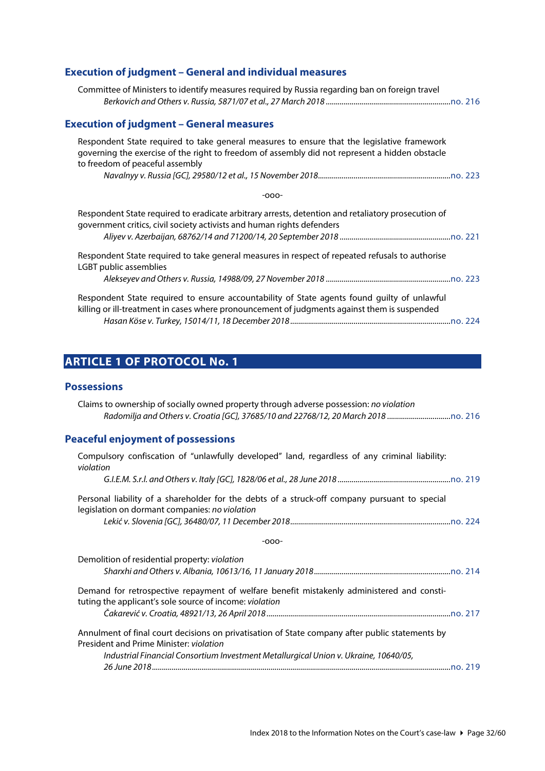# <span id="page-31-0"></span>**Execution of judgment – General and individual measures**

<span id="page-31-1"></span>

# <span id="page-31-2"></span>**ARTICLE 1 OF PROTOCOL No. 1**

#### <span id="page-31-3"></span>**Possessions**

<span id="page-31-4"></span>

| Claims to ownership of socially owned property through adverse possession: no violation<br>Radomilja and Others v. Croatia [GC], 37685/10 and 22768/12, 20 March 2018 |
|-----------------------------------------------------------------------------------------------------------------------------------------------------------------------|
| <b>Peaceful enjoyment of possessions</b>                                                                                                                              |
| Compulsory confiscation of "unlawfully developed" land, regardless of any criminal liability:<br>violation                                                            |
|                                                                                                                                                                       |
| Personal liability of a shareholder for the debts of a struck-off company pursuant to special<br>legislation on dormant companies: no violation                       |
|                                                                                                                                                                       |
| $-000-$                                                                                                                                                               |
| Demolition of residential property: violation                                                                                                                         |
|                                                                                                                                                                       |
| Demand for retrospective repayment of welfare benefit mistakenly administered and consti-<br>tuting the applicant's sole source of income: violation                  |
|                                                                                                                                                                       |
| Annulment of final court decisions on privatisation of State company after public statements by<br>President and Prime Minister: violation                            |
| Industrial Financial Consortium Investment Metallurgical Union v. Ukraine, 10640/05,                                                                                  |
|                                                                                                                                                                       |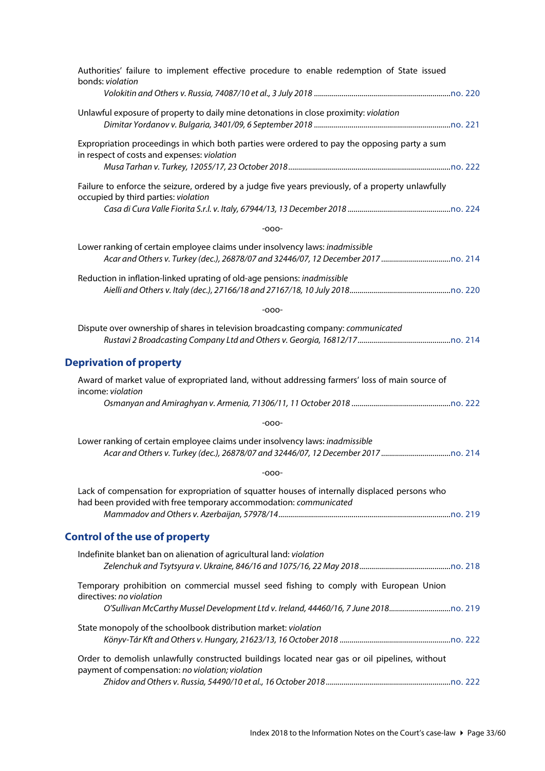<span id="page-32-1"></span><span id="page-32-0"></span>

| Authorities' failure to implement effective procedure to enable redemption of State issued<br>bonds: violation                                                                                    |  |
|---------------------------------------------------------------------------------------------------------------------------------------------------------------------------------------------------|--|
|                                                                                                                                                                                                   |  |
| Unlawful exposure of property to daily mine detonations in close proximity: violation                                                                                                             |  |
| Expropriation proceedings in which both parties were ordered to pay the opposing party a sum<br>in respect of costs and expenses: violation                                                       |  |
| Failure to enforce the seizure, ordered by a judge five years previously, of a property unlawfully<br>occupied by third parties: violation                                                        |  |
| $-000-$                                                                                                                                                                                           |  |
| Lower ranking of certain employee claims under insolvency laws: inadmissible                                                                                                                      |  |
| Reduction in inflation-linked uprating of old-age pensions: inadmissible                                                                                                                          |  |
| $-000-$                                                                                                                                                                                           |  |
| Dispute over ownership of shares in television broadcasting company: communicated                                                                                                                 |  |
| <b>Deprivation of property</b>                                                                                                                                                                    |  |
| Award of market value of expropriated land, without addressing farmers' loss of main source of<br>income: violation                                                                               |  |
|                                                                                                                                                                                                   |  |
| $-000-$                                                                                                                                                                                           |  |
| Lower ranking of certain employee claims under insolvency laws: inadmissible                                                                                                                      |  |
| $-000-$                                                                                                                                                                                           |  |
| Lack of compensation for expropriation of squatter houses of internally displaced persons who<br>had been provided with free temporary accommodation: communicated                                |  |
|                                                                                                                                                                                                   |  |
| <b>Control of the use of property</b>                                                                                                                                                             |  |
| Indefinite blanket ban on alienation of agricultural land: violation                                                                                                                              |  |
| Temporary prohibition on commercial mussel seed fishing to comply with European Union<br>directives: no violation<br>O'Sullivan McCarthy Mussel Development Ltd v. Ireland, 44460/16, 7 June 2018 |  |
| State monopoly of the schoolbook distribution market: violation                                                                                                                                   |  |
| Order to demolish unlawfully constructed buildings located near gas or oil pipelines, without<br>payment of compensation: no violation; violation                                                 |  |
|                                                                                                                                                                                                   |  |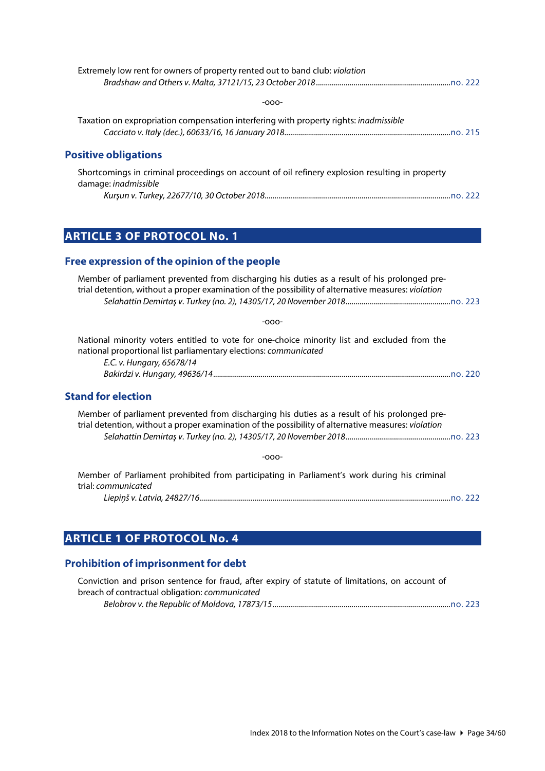<span id="page-33-0"></span>

| Extremely low rent for owners of property rented out to band club: violation                                                   |
|--------------------------------------------------------------------------------------------------------------------------------|
|                                                                                                                                |
| $-000-$                                                                                                                        |
| Taxation on expropriation compensation interfering with property rights: <i>inadmissible</i>                                   |
|                                                                                                                                |
| <b>Positive obligations</b>                                                                                                    |
| Shortcomings in criminal proceedings on account of oil refinery explosion resulting in property<br>damage: <i>ingdmissible</i> |
|                                                                                                                                |
|                                                                                                                                |
|                                                                                                                                |
| <b>ARTICLE 3 OF PROTOCOL No. 1</b>                                                                                             |

# <span id="page-33-2"></span><span id="page-33-1"></span>**Free expression of the opinion of the people**

<span id="page-33-3"></span>

| Member of parliament prevented from discharging his duties as a result of his prolonged pre-<br>trial detention, without a proper examination of the possibility of alternative measures: violation |
|-----------------------------------------------------------------------------------------------------------------------------------------------------------------------------------------------------|
|                                                                                                                                                                                                     |
| $-000-$                                                                                                                                                                                             |
| National minority voters entitled to vote for one-choice minority list and excluded from the<br>national proportional list parliamentary elections: <i>communicated</i>                             |
| E.C. v. Hungary, 65678/14                                                                                                                                                                           |
|                                                                                                                                                                                                     |
| <b>Stand for election</b>                                                                                                                                                                           |
| Member of parliament prevented from discharging his duties as a result of his prolonged pre-<br>trial detention, without a proper examination of the possibility of alternative measures: violation |
|                                                                                                                                                                                                     |
| $-000-$                                                                                                                                                                                             |
| Member of Parliament prohibited from participating in Parliament's work during his criminal<br>trial: communicated                                                                                  |
|                                                                                                                                                                                                     |

# <span id="page-33-4"></span>**ARTICLE 1 OF PROTOCOL No. 4**

# <span id="page-33-5"></span>**Prohibition of imprisonment for debt**

| Conviction and prison sentence for fraud, after expiry of statute of limitations, on account of |  |
|-------------------------------------------------------------------------------------------------|--|
| breach of contractual obligation: communicated                                                  |  |
|                                                                                                 |  |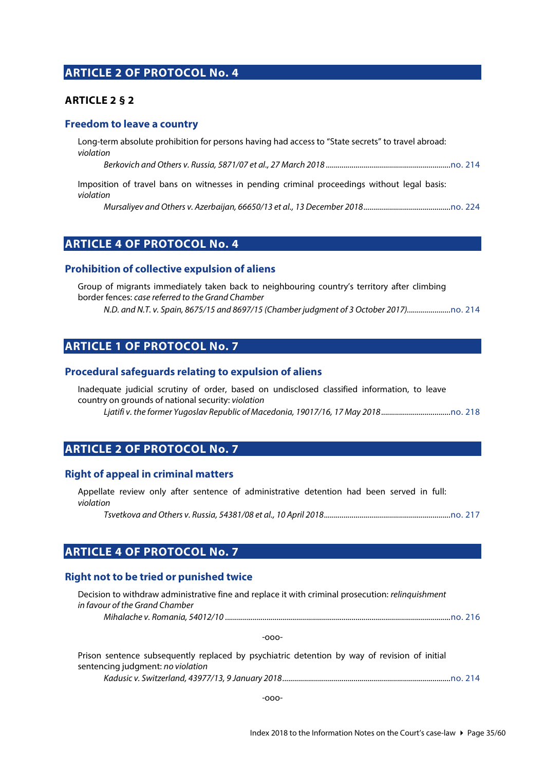### <span id="page-34-0"></span>**ARTICLE 2 OF PROTOCOL No. 4**

#### <span id="page-34-1"></span>**ARTICLE 2 § 2**

#### <span id="page-34-2"></span>**Freedom to leave a country**

Long-term absolute prohibition for persons having had access to "State secrets" to travel abroad: *violation*

*Berkovich and Others v. Russia, 5871/07 et al., 27 March 2018 ...............................................................*[no. 214](http://www.echr.coe.int/Documents/CLIN_2018_01_214_ENG.pdf)

Imposition of travel bans on witnesses in pending criminal proceedings without legal basis: *violation*

*Mursaliyev and Others v. Azerbaijan, 66650/13 et al., 13 December 2018............................................*[no. 224](http://www.echr.coe.int/Documents/CLIN_2018_12_224_ENG.pdf)

### <span id="page-34-3"></span>**ARTICLE 4 OF PROTOCOL No. 4**

#### <span id="page-34-4"></span>**Prohibition of collective expulsion of aliens**

Group of migrants immediately taken back to neighbouring country's territory after climbing border fences: *case referred to the Grand Chamber N.D. and N.T. v. Spain, 8675/15 and 8697/15 (Chamber judgment of 3 October 2017)......................*[no. 214](http://www.echr.coe.int/Documents/CLIN_2018_01_214_ENG.pdf)

### <span id="page-34-5"></span>**ARTICLE 1 OF PROTOCOL No. 7**

#### <span id="page-34-6"></span>**Procedural safeguards relating to expulsion of aliens**

Inadequate judicial scrutiny of order, based on undisclosed classified information, to leave country on grounds of national security: *violation*

*Ljatifi v. the former Yugoslav Republic of Macedonia, 19017/16, 17 May 2018...................................*[no. 218](http://www.echr.coe.int/Documents/CLIN_2018_05_218_ENG.pdf)

### <span id="page-34-7"></span>**ARTICLE 2 OF PROTOCOL No. 7**

#### <span id="page-34-8"></span>**Right of appeal in criminal matters**

Appellate review only after sentence of administrative detention had been served in full: *violation*

*Tsvetkova and Others v. Russia, 54381/08 et al., 10 April 2018................................................................*[no. 217](http://www.echr.coe.int/Documents/CLIN_2018_04_217_ENG.pdf)

### <span id="page-34-9"></span>**ARTICLE 4 OF PROTOCOL No. 7**

#### <span id="page-34-10"></span>**Right not to be tried or punished twice**

| Decision to withdraw administrative fine and replace it with criminal prosecution: relinquishment |  |
|---------------------------------------------------------------------------------------------------|--|
| in favour of the Grand Chamber                                                                    |  |
|                                                                                                   |  |

-ooo-

| Prison sentence subsequently replaced by psychiatric detention by way of revision of initial |  |
|----------------------------------------------------------------------------------------------|--|
| sentencing judgment: no violation                                                            |  |
|                                                                                              |  |

-ooo-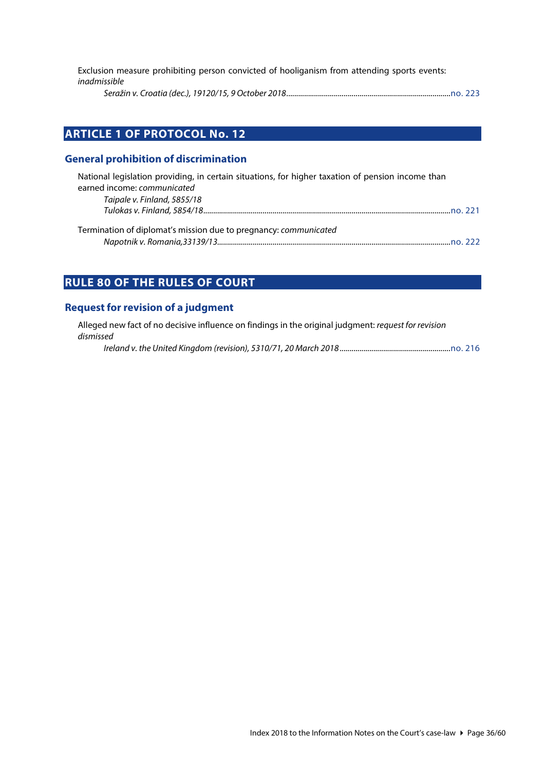Exclusion measure prohibiting person convicted of hooliganism from attending sports events: *inadmissible*

*Seražin v. Croatia (dec.), 19120/15, 9 October 2018...................................................................................*[no. 223](https://www.echr.coe.int/Documents/CLIN_2018_11_223_ENG.pdf)

# <span id="page-35-0"></span>**ARTICLE 1 OF PROTOCOL No. 12**

#### <span id="page-35-1"></span>**General prohibition of discrimination**

| National legislation providing, in certain situations, for higher taxation of pension income than<br>earned income: communicated |  |
|----------------------------------------------------------------------------------------------------------------------------------|--|
| Taipale v. Finland, 5855/18                                                                                                      |  |
|                                                                                                                                  |  |
| Termination of diplomat's mission due to pregnancy: communicated                                                                 |  |
|                                                                                                                                  |  |

# <span id="page-35-2"></span>**RULE 80 OF THE RULES OF COURT**

#### <span id="page-35-3"></span>**Request for revision of a judgment**

Alleged new fact of no decisive influence on findings in the original judgment: *request for revision dismissed*

*Ireland v. the United Kingdom (revision), 5310/71, 20 March 2018 ........................................................*[no. 216](http://www.echr.coe.int/Documents/CLIN_2018_03_216_ENG.pdf)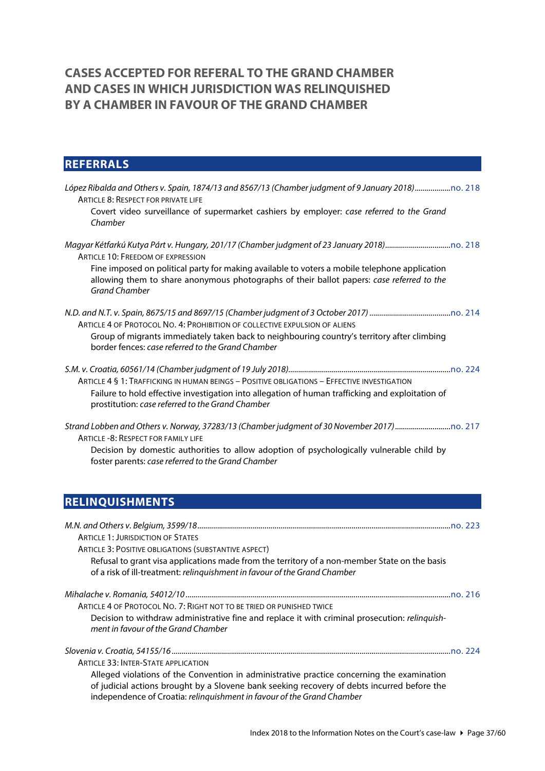# <span id="page-36-0"></span>**CASES ACCEPTED FOR REFERAL TO THE GRAND CHAMBER AND CASES IN WHICH JURISDICTION WAS RELINQUISHED BY A CHAMBER IN FAVOUR OF THE GRAND CHAMBER**

# <span id="page-36-1"></span>**REFERRALS**

| ARTICLE 8: RESPECT FOR PRIVATE LIFE<br>Covert video surveillance of supermarket cashiers by employer: case referred to the Grand<br>Chamber                                                                                                                    |
|----------------------------------------------------------------------------------------------------------------------------------------------------------------------------------------------------------------------------------------------------------------|
| <b>ARTICLE 10: FREEDOM OF EXPRESSION</b><br>Fine imposed on political party for making available to voters a mobile telephone application<br>allowing them to share anonymous photographs of their ballot papers: case referred to the<br><b>Grand Chamber</b> |
| ARTICLE 4 OF PROTOCOL NO. 4: PROHIBITION OF COLLECTIVE EXPULSION OF ALIENS<br>Group of migrants immediately taken back to neighbouring country's territory after climbing<br>border fences: case referred to the Grand Chamber                                 |
| ARTICLE 4 § 1: TRAFFICKING IN HUMAN BEINGS - POSITIVE OBLIGATIONS - EFFECTIVE INVESTIGATION<br>Failure to hold effective investigation into allegation of human trafficking and exploitation of<br>prostitution: case referred to the Grand Chamber            |
| ARTICLE - 8: RESPECT FOR FAMILY LIFE<br>Decision by domestic authorities to allow adoption of psychologically vulnerable child by<br>foster parents: case referred to the Grand Chamber                                                                        |
| <b>RELINQUISHMENTS</b>                                                                                                                                                                                                                                         |
| <b>ARTICLE 1: JURISDICTION OF STATES</b>                                                                                                                                                                                                                       |

<span id="page-36-2"></span>

| ARTICLE 3: POSITIVE OBLIGATIONS (SUBSTANTIVE ASPECT)                                                                                                                       |        |
|----------------------------------------------------------------------------------------------------------------------------------------------------------------------------|--------|
| Refusal to grant visa applications made from the territory of a non-member State on the basis<br>of a risk of ill-treatment: relinguishment in favour of the Grand Chamber |        |
|                                                                                                                                                                            |        |
|                                                                                                                                                                            | no 216 |
| ARTICLE 4 OF PROTOCOL NO. 7: RIGHT NOT TO BE TRIED OR PUNISHED TWICE                                                                                                       |        |
| Decision to withdraw administrative fine and replace it with criminal prosecution: relinquish-<br>ment in favour of the Grand Chamber                                      |        |

*Slovenia v. Croatia, 54155/16 .............................................................................................................................................*[no. 224](http://www.echr.coe.int/Documents/CLIN_2018_12_224_ENG.pdf)

ARTICLE 33: INTER-STATE APPLICATION

Alleged violations of the Convention in administrative practice concerning the examination of judicial actions brought by a Slovene bank seeking recovery of debts incurred before the independence of Croatia: *relinquishment in favour of the Grand Chamber*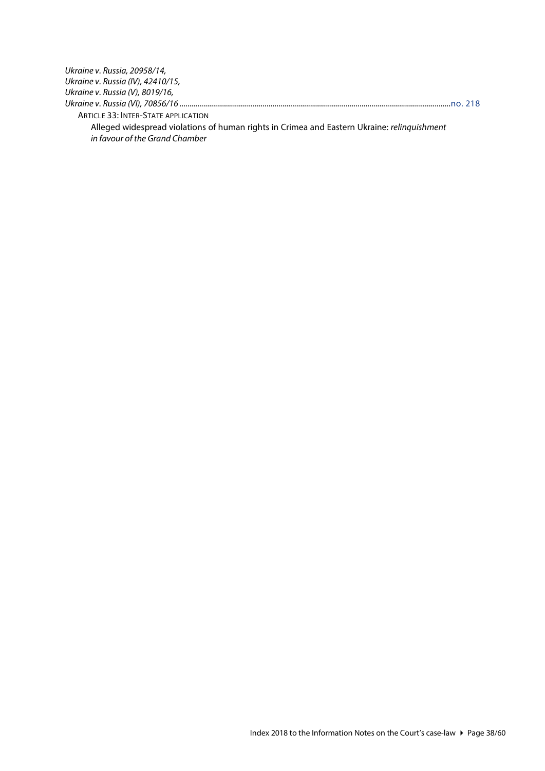| Ukraine v. Russia, 20958/14,               |  |
|--------------------------------------------|--|
| Ukraine v. Russia (IV), 42410/15,          |  |
| Ukraine v. Russia (V), 8019/16,            |  |
|                                            |  |
| <b>ARTICLE 33: INTER-STATE APPLICATION</b> |  |

Alleged widespread violations of human rights in Crimea and Eastern Ukraine: *relinquishment in favour of the Grand Chamber*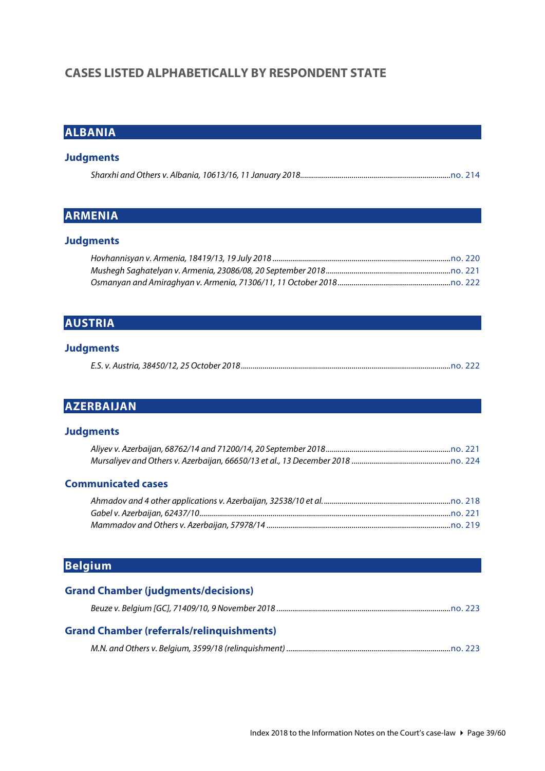# <span id="page-38-0"></span>**CASES LISTED ALPHABETICALLY BY RESPONDENT STATE**

# <span id="page-38-1"></span>**ALBANIA**

#### **Judgments**

# <span id="page-38-2"></span>**ARMENIA**

### **Judgments**

# <span id="page-38-3"></span>**AUSTRIA**

### **Judgments**

|--|--|--|--|

# <span id="page-38-4"></span>**AZERBAIJAN**

#### **Judgments**

#### **Communicated cases**

# <span id="page-38-5"></span>**Belgium**

### **Grand Chamber (judgments/decisions)**

|--|--|--|

### **Grand Chamber (referrals/relinquishments)**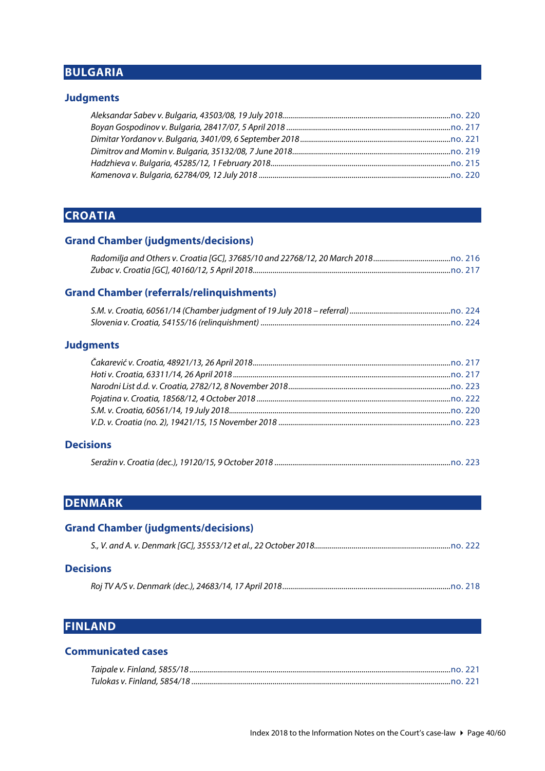# <span id="page-39-0"></span>**BULGARIA**

#### **Judgments**

# <span id="page-39-1"></span>**CROATIA**

# **Grand Chamber (judgments/decisions)**

#### **Grand Chamber (referrals/relinquishments)**

#### **Judgments**

#### **Decisions**

|--|--|

# <span id="page-39-2"></span>**DENMARK**

# **Grand Chamber (judgments/decisions)** *S., V. and A. v. Denmark [GC], 35553/12 et al., 22 October 2018.....................................................................*[no. 222](http://www.echr.coe.int/Documents/CLIN_2018_10_222_ENG.pdf)

### **Decisions**

*Roj TV A/S v. Denmark (dec.), 24683/14, 17 April 2018.....................................................................................*[no. 218](http://www.echr.coe.int/Documents/CLIN_2018_05_218_ENG.pdf)

### <span id="page-39-3"></span>**FINLAND**

#### **Communicated cases**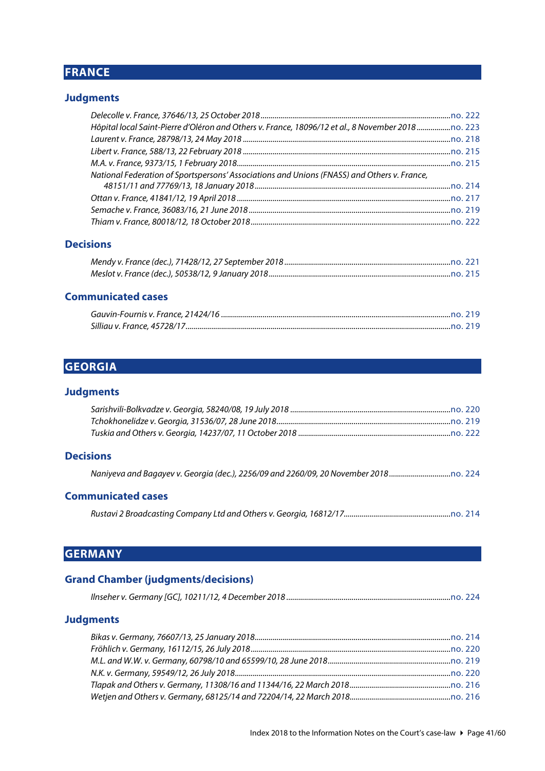# <span id="page-40-0"></span>**FRANCE**

### **Judgments**

| National Federation of Sportspersons' Associations and Unions (FNASS) and Others v. France, |  |
|---------------------------------------------------------------------------------------------|--|
|                                                                                             |  |
|                                                                                             |  |
|                                                                                             |  |
|                                                                                             |  |

#### **Decisions**

### **Communicated cases**

# <span id="page-40-1"></span>**GEORGIA**

#### **Judgments**

#### **Decisions**

|  | Naniyeva and Bagayev v. Georgia (dec.), 2256/09 and 2260/09, 20 November 2018 |  |
|--|-------------------------------------------------------------------------------|--|
|--|-------------------------------------------------------------------------------|--|

#### **Communicated cases**

*Rustavi 2 Broadcasting Company Ltd and Others v. Georgia, 16812/17......................................................*[no. 214](http://www.echr.coe.int/Documents/CLIN_2018_01_214_ENG.pdf)

# <span id="page-40-2"></span>**GERMANY**

### **Grand Chamber (judgments/decisions)**

|--|--|--|--|

#### **Judgments**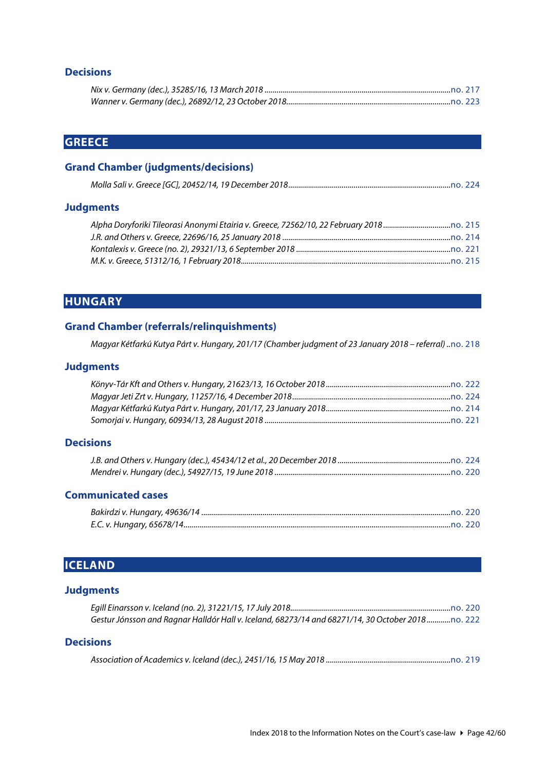### **Decisions**

# <span id="page-41-0"></span>**GREECE**

### **Grand Chamber (judgments/decisions)**

|--|--|--|--|

#### **Judgments**

# <span id="page-41-1"></span>**HUNGARY**

### **Grand Chamber (referrals/relinquishments)**

*Magyar Kétfarkú Kutya Párt v. Hungary, 201/17 (Chamber judgment of 23 January 2018 – referral) ..*[no. 218](http://www.echr.coe.int/Documents/CLIN_2018_05_218_ENG.pdf)

#### **Judgments**

#### **Decisions**

| J.B. and Others v. Hungary (dec.), 45434/12 et al., 20 December 2018 ………………………………………………………………………………… |  |
|------------------------------------------------------------------------------------------------------|--|
|                                                                                                      |  |

#### **Communicated cases**

# <span id="page-41-2"></span>**ICELAND**

#### **Judgments**

| Gestur Jónsson and Ragnar Halldór Hall v. Iceland, 68273/14 and 68271/14, 30 October 2018no. 222 |  |
|--------------------------------------------------------------------------------------------------|--|

# **Decisions**

|--|--|--|--|--|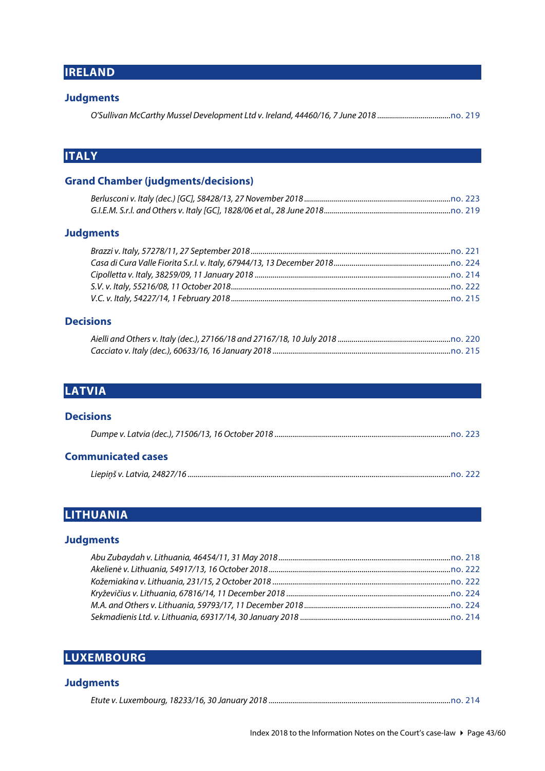```
IRELAND
```
#### **Judgments**

*O'Sullivan McCarthy Mussel Development Ltd v. Ireland, 44460/16, 7 June 2018 .....................................*[no. 219](http://www.echr.coe.int/Documents/CLIN_2018_06_219_ENG.pdf)

# <span id="page-42-1"></span>**ITALY**

### **Grand Chamber (judgments/decisions)**

#### **Judgments**

#### **Decisions**

# <span id="page-42-2"></span>**LATVIA**

| <b>Decisions</b>          |  |
|---------------------------|--|
|                           |  |
| <b>Communicated cases</b> |  |

*Liepiņš v. Latvia, 24827/16 .....................................................................................................................................*[no. 222](http://www.echr.coe.int/Documents/CLIN_2018_10_222_ENG.pdf)

# <span id="page-42-3"></span>**LITHUANIA**

### **Judgments**

# <span id="page-42-4"></span>**LUXEMBOURG**

#### **Judgments**

*Etute v. Luxembourg, 18233/16, 30 January 2018 ............................................................................................*[no. 214](http://www.echr.coe.int/Documents/CLIN_2018_01_214_ENG.pdf)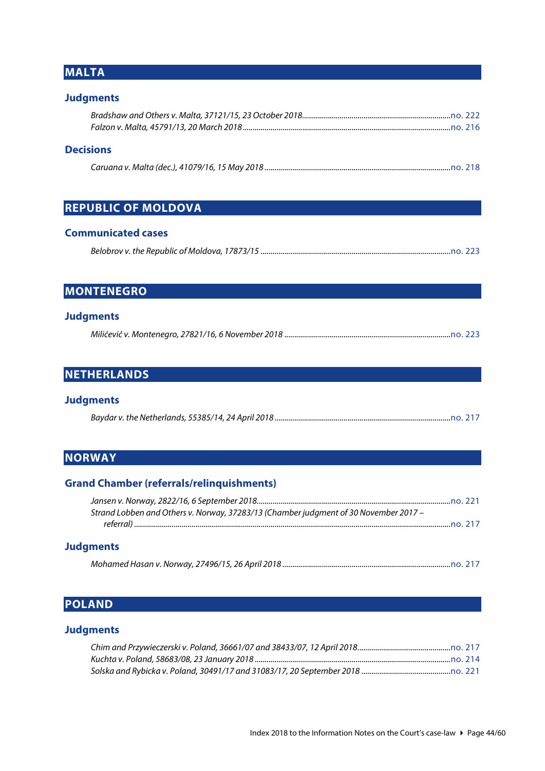# <span id="page-43-0"></span>**MALTA**

### **Judgments**

### **Decisions**

# <span id="page-43-1"></span>**REPUBLIC OF MOLDOVA**

#### **Communicated cases**

|--|--|--|

# <span id="page-43-2"></span>**MONTENEGRO**

#### **Judgments**

|--|--|

# <span id="page-43-3"></span>**NETHERLANDS**

#### **Judgments**

# <span id="page-43-4"></span>**NORWAY**

### **Grand Chamber (referrals/relinquishments)**

| Strand Lobben and Others v. Norway, 37283/13 (Chamber judgment of 30 November 2017 - |        |
|--------------------------------------------------------------------------------------|--------|
|                                                                                      | no.217 |
| <b>Judgments</b>                                                                     |        |

#### *Mohamed Hasan v. Norway, 27496/15, 26 April 2018 .....................................................................................*[no. 217](http://www.echr.coe.int/Documents/CLIN_2018_04_217_ENG.pdf)

# <span id="page-43-5"></span>**POLAND**

# **Judgments**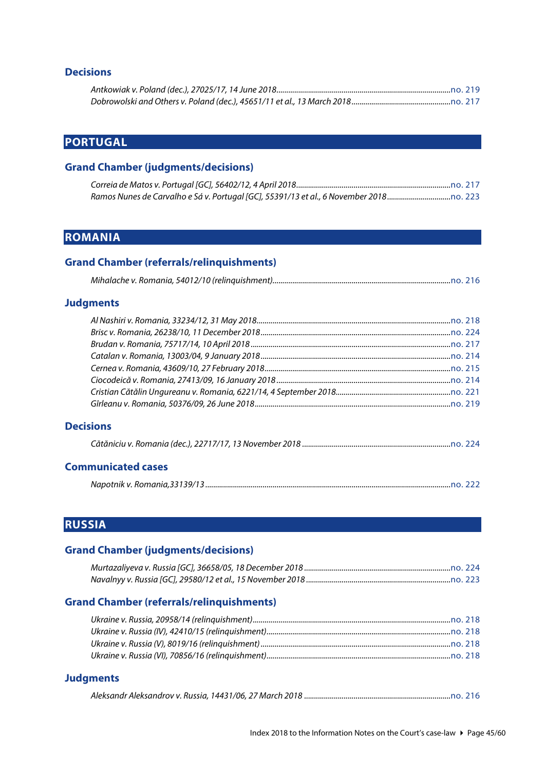### **Decisions**

# <span id="page-44-0"></span>**PORTUGAL**

### **Grand Chamber (judgments/decisions)**

# <span id="page-44-1"></span>**ROMANIA**

#### **Grand Chamber (referrals/relinquishments)**

|--|--|--|

#### **Judgments**

### **Decisions**

|--|--|

#### **Communicated cases**

<span id="page-44-2"></span>

|--|

# **RUSSIA**

### **Grand Chamber (judgments/decisions)**

### **Grand Chamber (referrals/relinquishments)**

# **Judgments**

|--|--|--|--|--|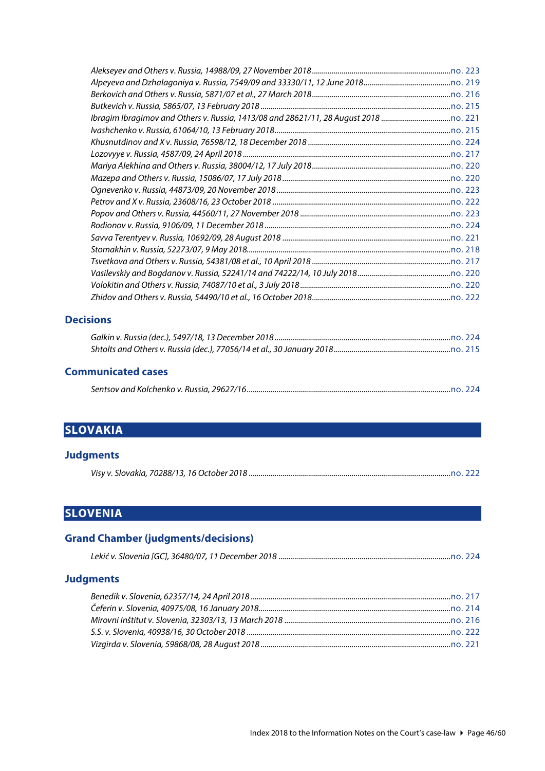#### **Decisions**

#### **Communicated cases**

# <span id="page-45-0"></span>**SLOVAKIA**

#### **Judgments**

# <span id="page-45-1"></span>**SLOVENIA**

# **Grand Chamber (judgments/decisions)** *Lekić v. Slovenia [GC], 36480/07, 11 December 2018 .......................................................................................*[no. 224](http://www.echr.coe.int/Documents/CLIN_2018_12_224_ENG.pdf) **Judgments** *Benedik v. Slovenia, 62357/14, 24 April 2018 .....................................................................................................*[no. 217](http://www.echr.coe.int/Documents/CLIN_2018_04_217_ENG.pdf)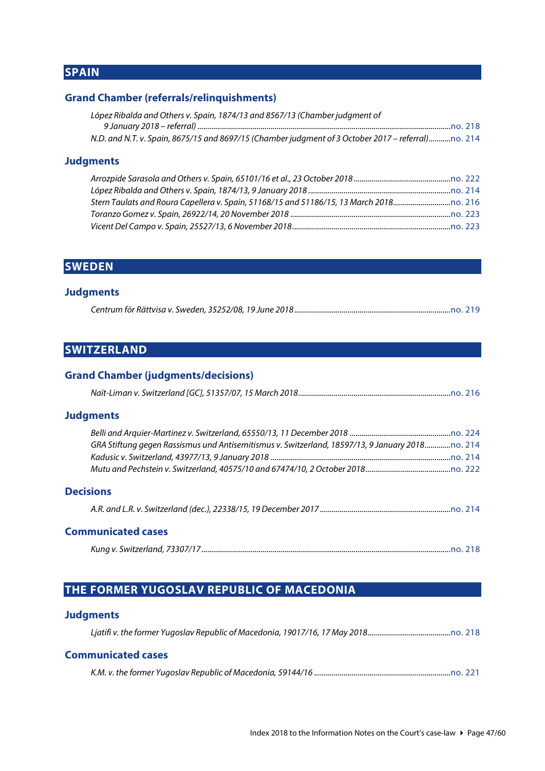# <span id="page-46-0"></span>**SPAIN**

### **Grand Chamber (referrals/relinquishments)**

| López Ribalda and Others v. Spain, 1874/13 and 8567/13 (Chamber judgment of                        |  |
|----------------------------------------------------------------------------------------------------|--|
|                                                                                                    |  |
| N.D. and N.T. v. Spain, 8675/15 and 8697/15 (Chamber judgment of 3 October 2017 - referral)no. 214 |  |

#### **Judgments**

# <span id="page-46-1"></span>**SWEDEN**

#### **Judgments**

|--|--|

# <span id="page-46-2"></span>**SWITZERLAND**

### **Grand Chamber (judgments/decisions)**

|--|--|--|--|

#### **Judgments**

| GRA Stiftung gegen Rassismus und Antisemitismus v. Switzerland, 18597/13, 9 January 2018 |  |
|------------------------------------------------------------------------------------------|--|
|                                                                                          |  |
|                                                                                          |  |
|                                                                                          |  |

#### **Decisions**

#### **Communicated cases**

|--|

# <span id="page-46-3"></span>**THE FORMER YUGOSLAV REPUBLIC OF MACEDONIA**

#### **Judgments**

*Ljatifi v. the former Yugoslav Republic of Macedonia, 19017/16, 17 May 2018..........................................*[no. 218](http://www.echr.coe.int/Documents/CLIN_2018_05_218_ENG.pdf)

#### **Communicated cases**

|--|--|--|--|--|--|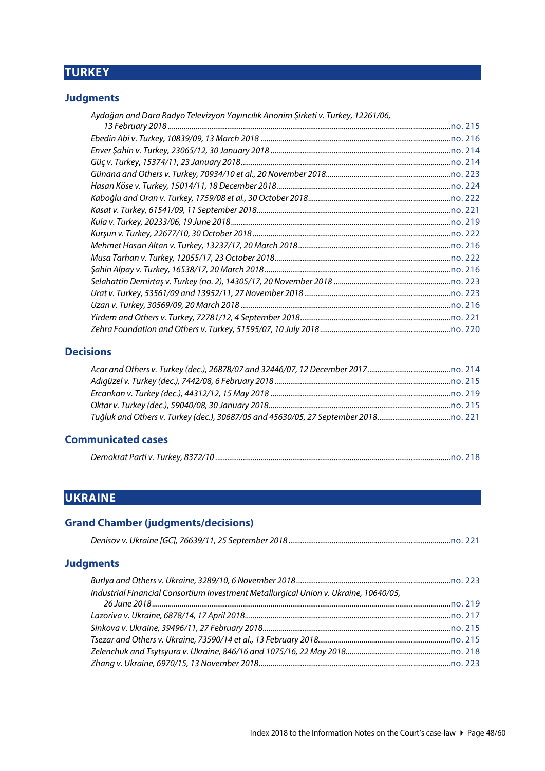# <span id="page-47-0"></span>**TURKEY**

# **Judgments**

| Aydoğan and Dara Radyo Televizyon Yayıncılık Anonim Şirketi v. Turkey, 12261/06, |  |
|----------------------------------------------------------------------------------|--|
|                                                                                  |  |
|                                                                                  |  |
|                                                                                  |  |
|                                                                                  |  |
|                                                                                  |  |
|                                                                                  |  |
|                                                                                  |  |
|                                                                                  |  |
|                                                                                  |  |
|                                                                                  |  |
|                                                                                  |  |
|                                                                                  |  |
|                                                                                  |  |
|                                                                                  |  |
|                                                                                  |  |
|                                                                                  |  |
|                                                                                  |  |
|                                                                                  |  |

### **Decisions**

# **Communicated cases**

# <span id="page-47-1"></span>**UKRAINE**

# **Grand Chamber (judgments/decisions)**

### **Judgments**

| Industrial Financial Consortium Investment Metallurgical Union v. Ukraine, 10640/05, |  |
|--------------------------------------------------------------------------------------|--|
|                                                                                      |  |
|                                                                                      |  |
|                                                                                      |  |
|                                                                                      |  |
|                                                                                      |  |
|                                                                                      |  |
|                                                                                      |  |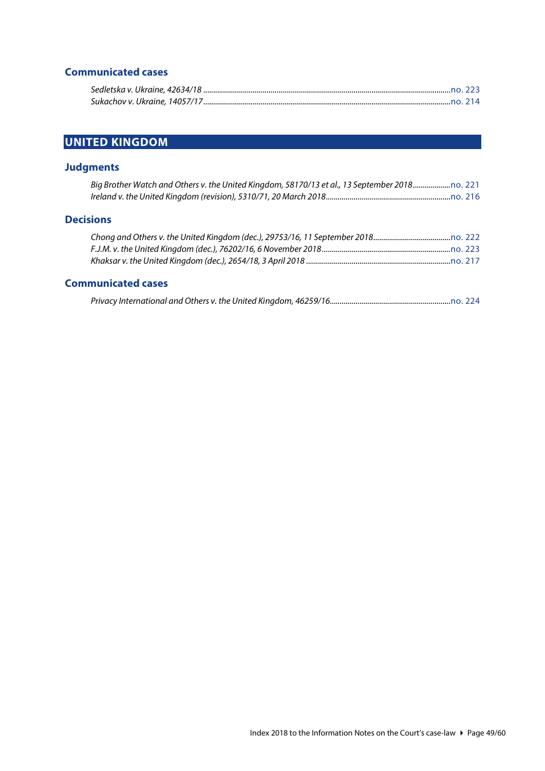# **Communicated cases**

# <span id="page-48-0"></span>**UNITED KINGDOM**

# **Judgments**

| Big Brother Watch and Others v. the United Kingdom, 58170/13 et al., 13 September 2018 |  |
|----------------------------------------------------------------------------------------|--|
|                                                                                        |  |

#### **Decisions**

#### **Communicated cases**

|--|--|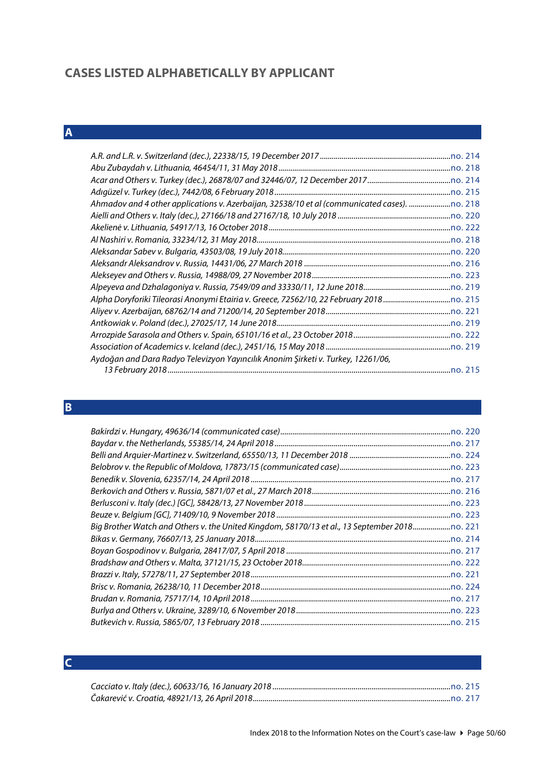# <span id="page-49-0"></span>**CASES LISTED ALPHABETICALLY BY APPLICANT**

# <span id="page-49-1"></span>**A**

| Aydoğan and Dara Radyo Televizyon Yayıncılık Anonim Şirketi v. Turkey, 12261/06, |  |
|----------------------------------------------------------------------------------|--|
|                                                                                  |  |
|                                                                                  |  |

# <span id="page-49-2"></span>**B**

| Big Brother Watch and Others v. the United Kingdom, 58170/13 et al., 13 September 2018 |  |
|----------------------------------------------------------------------------------------|--|
|                                                                                        |  |
|                                                                                        |  |
|                                                                                        |  |
|                                                                                        |  |
|                                                                                        |  |
|                                                                                        |  |
|                                                                                        |  |
|                                                                                        |  |

# <span id="page-49-3"></span>**C**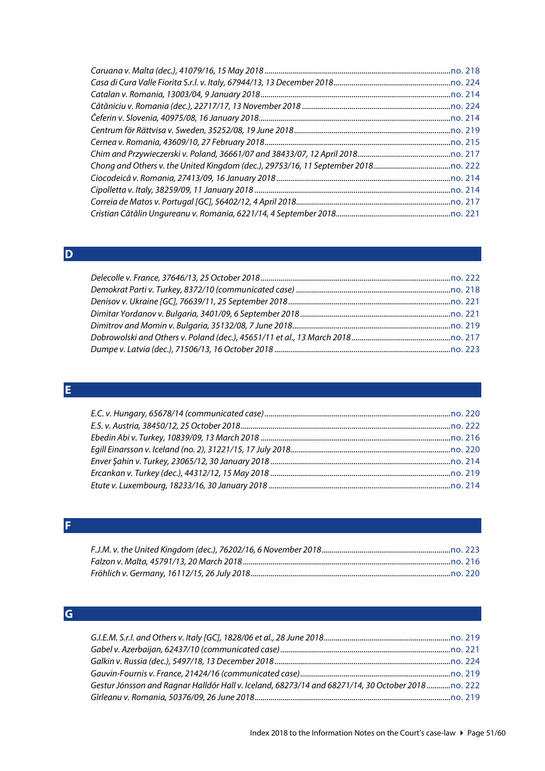#### <span id="page-50-0"></span>**D**

# <span id="page-50-1"></span>**E**

#### <span id="page-50-2"></span>**F**

# <span id="page-50-3"></span>**G**

| Gestur Jónsson and Ragnar Halldór Hall v. Iceland, 68273/14 and 68271/14, 30 October 2018no. 222 |  |
|--------------------------------------------------------------------------------------------------|--|
|                                                                                                  |  |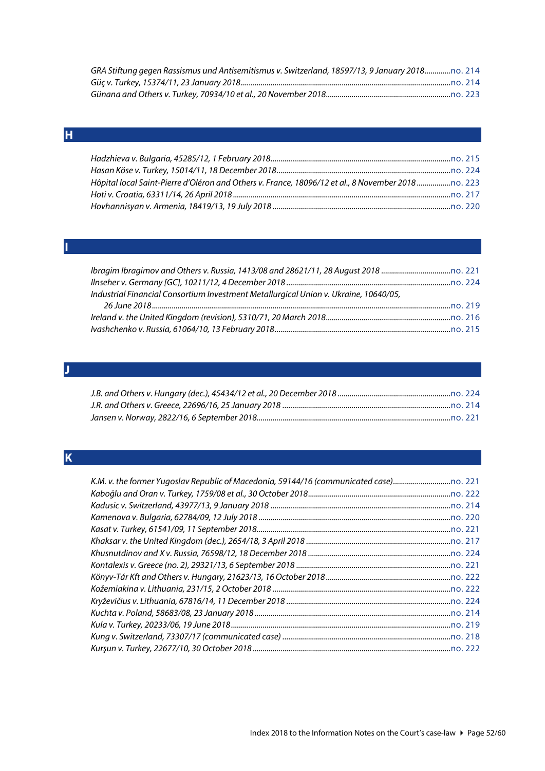| GRA Stiftung gegen Rassismus und Antisemitismus v. Switzerland, 18597/13, 9 January 2018no. 214 |  |
|-------------------------------------------------------------------------------------------------|--|
|                                                                                                 |  |
|                                                                                                 |  |

## <span id="page-51-0"></span>**H**

| Hôpital local Saint-Pierre d'Oléron and Others v. France, 18096/12 et al., 8 November 2018 no. 223 |  |
|----------------------------------------------------------------------------------------------------|--|
|                                                                                                    |  |
|                                                                                                    |  |

#### <span id="page-51-1"></span>**I**

| Industrial Financial Consortium Investment Metallurgical Union v. Ukraine, 10640/05, |  |
|--------------------------------------------------------------------------------------|--|
|                                                                                      |  |
|                                                                                      |  |
|                                                                                      |  |

# <span id="page-51-2"></span>**J**

# <span id="page-51-3"></span>**K**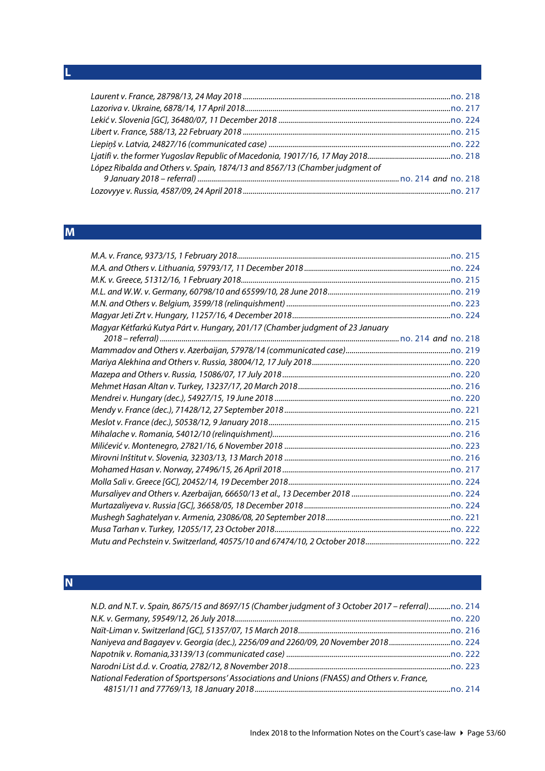### <span id="page-52-0"></span>**L**

| López Ribalda and Others v. Spain, 1874/13 and 8567/13 (Chamber judgment of |  |
|-----------------------------------------------------------------------------|--|
|                                                                             |  |
|                                                                             |  |

# <span id="page-52-1"></span>**M**

| Magyar Kétfarkú Kutya Párt v. Hungary, 201/17 (Chamber judgment of 23 January |  |
|-------------------------------------------------------------------------------|--|
|                                                                               |  |
|                                                                               |  |
|                                                                               |  |
|                                                                               |  |
|                                                                               |  |
|                                                                               |  |
|                                                                               |  |
|                                                                               |  |
|                                                                               |  |
|                                                                               |  |
|                                                                               |  |
|                                                                               |  |
|                                                                               |  |
|                                                                               |  |
|                                                                               |  |
|                                                                               |  |
|                                                                               |  |

# <span id="page-52-2"></span>**N**

| N.D. and N.T. v. Spain, 8675/15 and 8697/15 (Chamber judgment of 3 October 2017 – referral)no. 214 |  |
|----------------------------------------------------------------------------------------------------|--|
|                                                                                                    |  |
|                                                                                                    |  |
|                                                                                                    |  |
|                                                                                                    |  |
|                                                                                                    |  |
| National Federation of Sportspersons' Associations and Unions (FNASS) and Others v. France,        |  |
|                                                                                                    |  |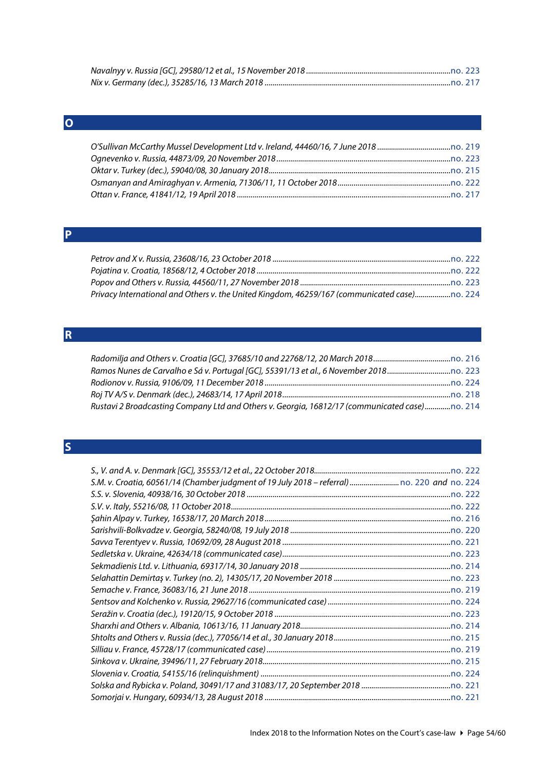# <span id="page-53-0"></span>**O**

# <span id="page-53-1"></span>**P**

| Privacy International and Others v. the United Kingdom, 46259/167 (communicated case) |  |
|---------------------------------------------------------------------------------------|--|

# <span id="page-53-2"></span>**R**

| Rustavi 2 Broadcasting Company Ltd and Others v. Georgia, 16812/17 (communicated case)no. 214 |  |
|-----------------------------------------------------------------------------------------------|--|

# <span id="page-53-3"></span>**S**

| S.M. v. Croatia, 60561/14 (Chamber judgment of 19 July 2018 - referral)  no. 220 and no. 224 |  |
|----------------------------------------------------------------------------------------------|--|
|                                                                                              |  |
|                                                                                              |  |
|                                                                                              |  |
|                                                                                              |  |
|                                                                                              |  |
|                                                                                              |  |
|                                                                                              |  |
|                                                                                              |  |
|                                                                                              |  |
|                                                                                              |  |
|                                                                                              |  |
|                                                                                              |  |
|                                                                                              |  |
|                                                                                              |  |
|                                                                                              |  |
|                                                                                              |  |
|                                                                                              |  |
|                                                                                              |  |
|                                                                                              |  |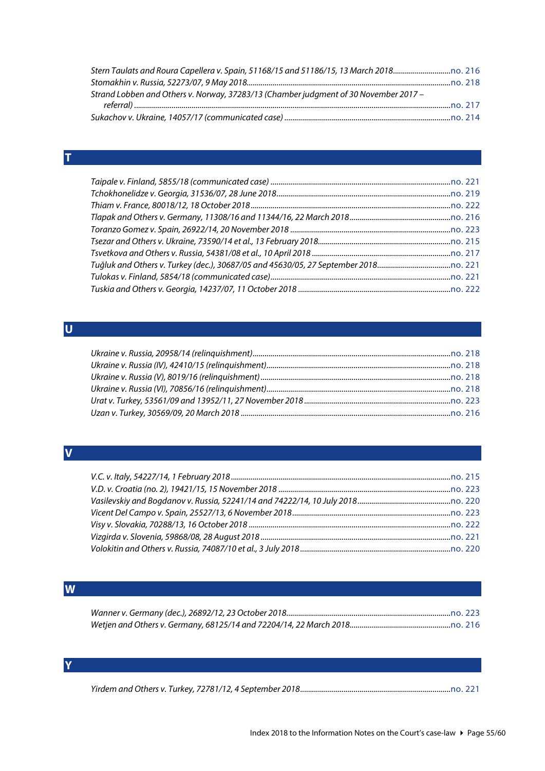| Strand Lobben and Others v. Norway, 37283/13 (Chamber judgment of 30 November 2017 – |  |
|--------------------------------------------------------------------------------------|--|
|                                                                                      |  |
|                                                                                      |  |

### <span id="page-54-0"></span>**T**

# <span id="page-54-1"></span>**U**

# <span id="page-54-2"></span>**V**

# <span id="page-54-3"></span>**W**

#### <span id="page-54-4"></span>**Y**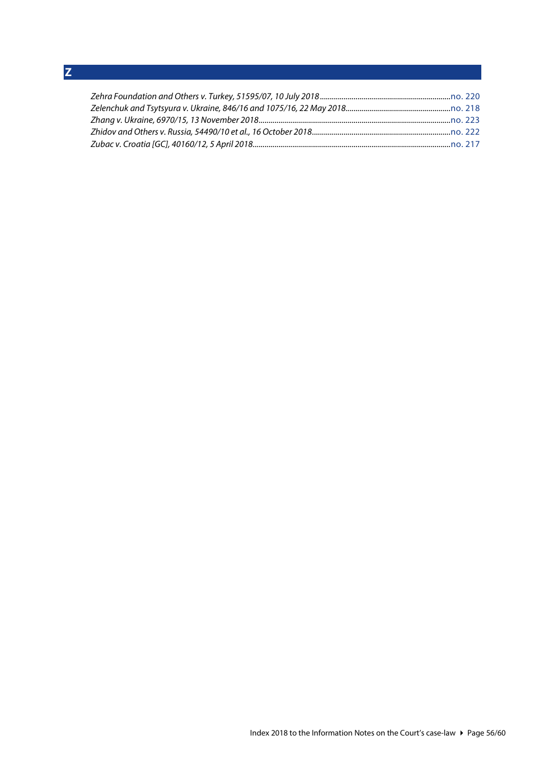<span id="page-55-0"></span>**Z**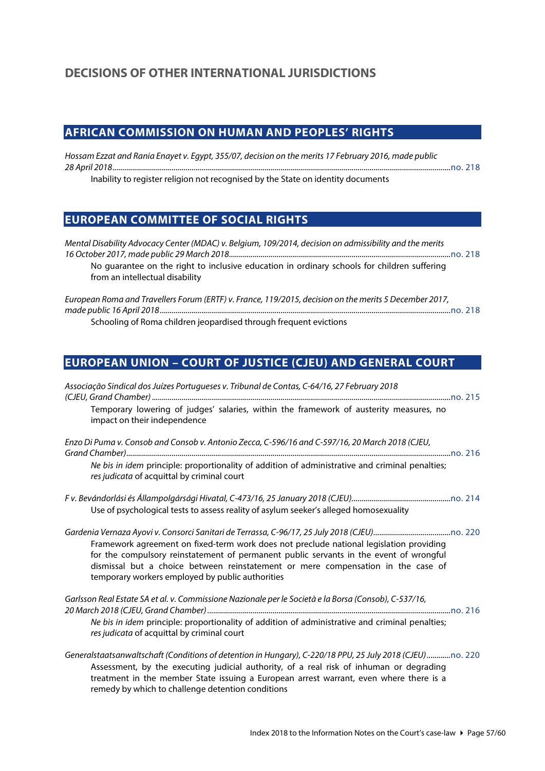# <span id="page-56-1"></span><span id="page-56-0"></span>**AFRICAN COMMISSION ON HUMAN AND PEOPLES' RIGHTS**

*Hossam Ezzat and Rania Enayet v. Egypt, 355/07, decision on the merits 17 February 2016, made public 28 April 2018...........................................................................................................................................................................*[no. 218](http://www.echr.coe.int/Documents/CLIN_2018_05_218_ENG.pdf)

<span id="page-56-2"></span>Inability to register religion not recognised by the State on identity documents

### **EUROPEAN COMMITTEE OF SOCIAL RIGHTS**

| Mental Disability Advocacy Center (MDAC) v. Belgium, 109/2014, decision on admissibility and the merits<br>No quarantee on the right to inclusive education in ordinary schools for children suffering<br>from an intellectual disability |  |
|-------------------------------------------------------------------------------------------------------------------------------------------------------------------------------------------------------------------------------------------|--|
| European Roma and Travellers Forum (ERTF) v. France, 119/2015, decision on the merits 5 December 2017,                                                                                                                                    |  |

Schooling of Roma children jeopardised through frequent evictions

# <span id="page-56-3"></span>**EUROPEAN UNION – COURT OF JUSTICE (CJEU) AND GENERAL COURT**

| Associação Sindical dos Juízes Portugueses v. Tribunal de Contas, C-64/16, 27 February 2018                                                                                                                                                                                                                                                 |
|---------------------------------------------------------------------------------------------------------------------------------------------------------------------------------------------------------------------------------------------------------------------------------------------------------------------------------------------|
| Temporary lowering of judges' salaries, within the framework of austerity measures, no<br>impact on their independence                                                                                                                                                                                                                      |
| Enzo Di Puma v. Consob and Consob v. Antonio Zecca, C-596/16 and C-597/16, 20 March 2018 (CJEU,                                                                                                                                                                                                                                             |
| Ne bis in idem principle: proportionality of addition of administrative and criminal penalties;<br>res judicata of acquittal by criminal court                                                                                                                                                                                              |
| Use of psychological tests to assess reality of asylum seeker's alleged homosexuality                                                                                                                                                                                                                                                       |
| Framework agreement on fixed-term work does not preclude national legislation providing<br>for the compulsory reinstatement of permanent public servants in the event of wrongful<br>dismissal but a choice between reinstatement or mere compensation in the case of<br>temporary workers employed by public authorities                   |
| Garlsson Real Estate SA et al. v. Commissione Nazionale per le Società e la Borsa (Consob), C-537/16,                                                                                                                                                                                                                                       |
| Ne bis in idem principle: proportionality of addition of administrative and criminal penalties;<br>res judicata of acquittal by criminal court                                                                                                                                                                                              |
| Generalstaatsanwaltschaft (Conditions of detention in Hungary), C-220/18 PPU, 25 July 2018 (CJEU)no. 220<br>$\sim$ . The set of the set of the set of the set of the set of the set of the set of the set of the set of the set of the set of the set of the set of the set of the set of the set of the set of the set of the set of the s |

Assessment, by the executing judicial authority, of a real risk of inhuman or degrading treatment in the member State issuing a European arrest warrant, even where there is a remedy by which to challenge detention conditions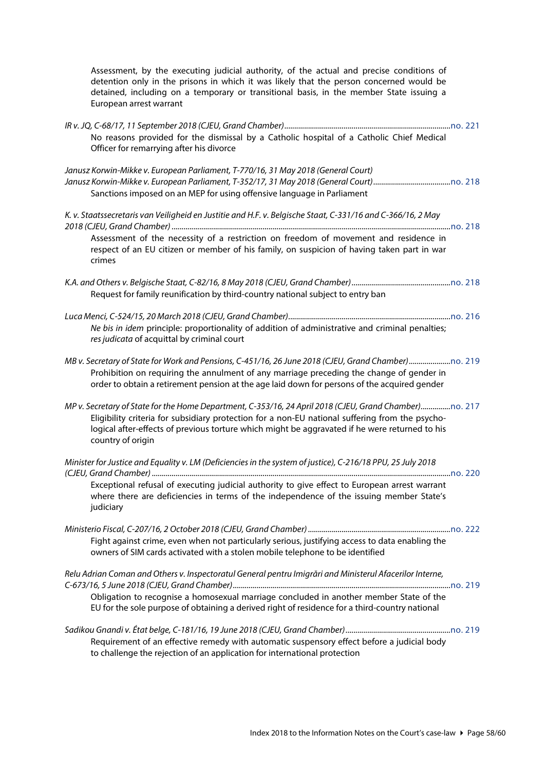Assessment, by the executing judicial authority, of the actual and precise conditions of detention only in the prisons in which it was likely that the person concerned would be detained, including on a temporary or transitional basis, in the member State issuing a European arrest warrant

| No reasons provided for the dismissal by a Catholic hospital of a Catholic Chief Medical<br>Officer for remarrying after his divorce                                                                                   |
|------------------------------------------------------------------------------------------------------------------------------------------------------------------------------------------------------------------------|
| Janusz Korwin-Mikke v. European Parliament, T-770/16, 31 May 2018 (General Court)<br>Sanctions imposed on an MEP for using offensive language in Parliament                                                            |
| K. v. Staatssecretaris van Veiligheid en Justitie and H.F. v. Belgische Staat, C-331/16 and C-366/16, 2 May<br>Assessment of the necessity of a restriction on freedom of movement and residence in                    |
| respect of an EU citizen or member of his family, on suspicion of having taken part in war<br>crimes                                                                                                                   |
| Request for family reunification by third-country national subject to entry ban                                                                                                                                        |
| Ne bis in idem principle: proportionality of addition of administrative and criminal penalties;<br>res judicata of acquittal by criminal court                                                                         |
| Prohibition on requiring the annulment of any marriage preceding the change of gender in<br>order to obtain a retirement pension at the age laid down for persons of the acquired gender                               |
| Eligibility criteria for subsidiary protection for a non-EU national suffering from the psycho-<br>logical after-effects of previous torture which might be aggravated if he were returned to his<br>country of origin |
| Minister for Justice and Equality v. LM (Deficiencies in the system of justice), C-216/18 PPU, 25 July 2018                                                                                                            |
| Exceptional refusal of executing judicial authority to give effect to European arrest warrant<br>where there are deficiencies in terms of the independence of the issuing member State's<br>judiciary                  |
|                                                                                                                                                                                                                        |
| Fight against crime, even when not particularly serious, justifying access to data enabling the<br>owners of SIM cards activated with a stolen mobile telephone to be identified                                       |
| Relu Adrian Coman and Others v. Inspectoratul General pentru Imigrări and Ministerul Afacerilor Interne,                                                                                                               |
| Obligation to recognise a homosexual marriage concluded in another member State of the<br>EU for the sole purpose of obtaining a derived right of residence for a third-country national                               |
|                                                                                                                                                                                                                        |
| Requirement of an effective remedy with automatic suspensory effect before a judicial body<br>to challenge the rejection of an application for international protection                                                |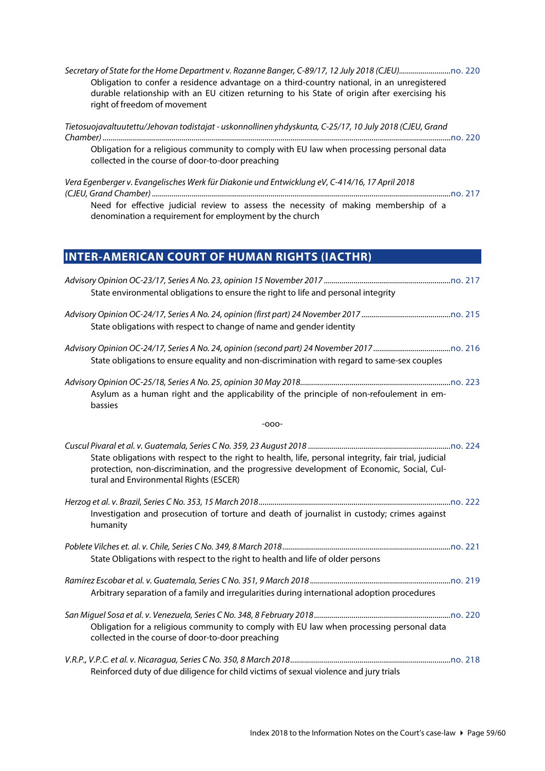*Secretary of State for the Home Department v. Rozanne Banger, C-89/17, 12 July 2018 (CJEU)..........................*[no. 220](http://www.echr.coe.int/Documents/CLIN_2018_07_220_ENG.pdf) Obligation to confer a residence advantage on a third-country national, in an unregistered durable relationship with an EU citizen returning to his State of origin after exercising his right of freedom of movement

| Tietosuojavaltuutettu/Jehovan todistajat - uskonnollinen yhdyskunta, C-25/17, 10 July 2018 (CJEU, Grand                                       |
|-----------------------------------------------------------------------------------------------------------------------------------------------|
| $\ldots$ no. 220                                                                                                                              |
| Obligation for a religious community to comply with EU law when processing personal data<br>collected in the course of door-to-door preaching |
| Vera Egenberger v. Evangelisches Werk für Diakonie und Entwicklung eV, C-414/16, 17 April 2018                                                |

*(CJEU, Grand Chamber) .......................................................................................................................................................*[no. 217](http://www.echr.coe.int/Documents/CLIN_2018_04_217_ENG.pdf) Need for effective judicial review to assess the necessity of making membership of a denomination a requirement for employment by the church

# <span id="page-58-0"></span>**INTER-AMERICAN COURT OF HUMAN RIGHTS (IACTHR)**

| State environmental obligations to ensure the right to life and personal integrity                                                                                                                                                           |  |
|----------------------------------------------------------------------------------------------------------------------------------------------------------------------------------------------------------------------------------------------|--|
| State obligations with respect to change of name and gender identity                                                                                                                                                                         |  |
| State obligations to ensure equality and non-discrimination with regard to same-sex couples                                                                                                                                                  |  |
|                                                                                                                                                                                                                                              |  |
| Asylum as a human right and the applicability of the principle of non-refoulement in em-<br>bassies                                                                                                                                          |  |
| $-000-$                                                                                                                                                                                                                                      |  |
| State obligations with respect to the right to health, life, personal integrity, fair trial, judicial<br>protection, non-discrimination, and the progressive development of Economic, Social, Cul-<br>tural and Environmental Rights (ESCER) |  |
| Investigation and prosecution of torture and death of journalist in custody; crimes against<br>humanity                                                                                                                                      |  |
| State Obligations with respect to the right to health and life of older persons                                                                                                                                                              |  |
| Arbitrary separation of a family and irregularities during international adoption procedures                                                                                                                                                 |  |
| Obligation for a religious community to comply with EU law when processing personal data<br>collected in the course of door-to-door preaching                                                                                                |  |
|                                                                                                                                                                                                                                              |  |
| Reinforced duty of due diligence for child victims of sexual violence and jury trials                                                                                                                                                        |  |